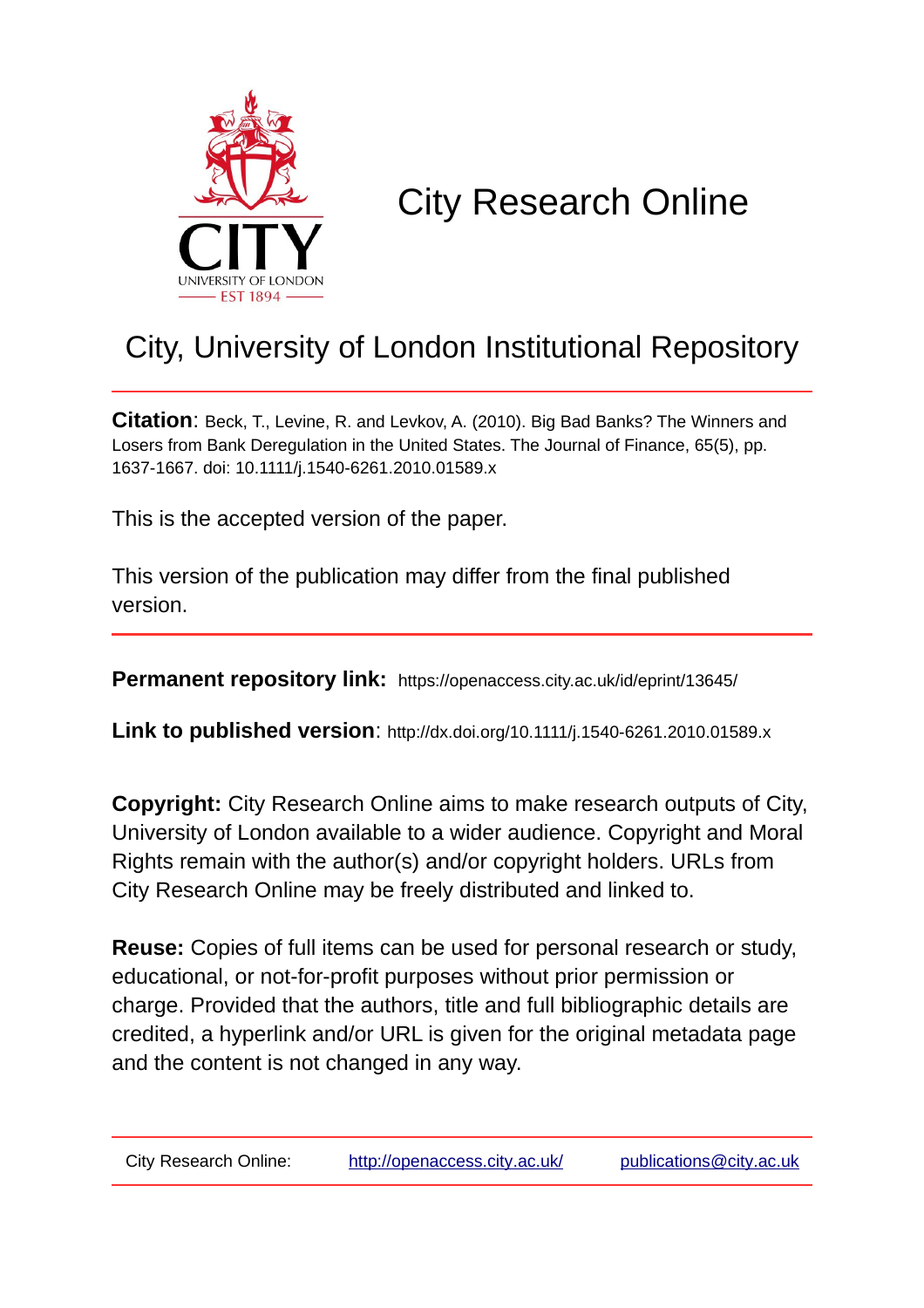

# City Research Online

# City, University of London Institutional Repository

**Citation**: Beck, T., Levine, R. and Levkov, A. (2010). Big Bad Banks? The Winners and Losers from Bank Deregulation in the United States. The Journal of Finance, 65(5), pp. 1637-1667. doi: 10.1111/j.1540-6261.2010.01589.x

This is the accepted version of the paper.

This version of the publication may differ from the final published version.

**Permanent repository link:** https://openaccess.city.ac.uk/id/eprint/13645/

**Link to published version**: http://dx.doi.org/10.1111/j.1540-6261.2010.01589.x

**Copyright:** City Research Online aims to make research outputs of City, University of London available to a wider audience. Copyright and Moral Rights remain with the author(s) and/or copyright holders. URLs from City Research Online may be freely distributed and linked to.

**Reuse:** Copies of full items can be used for personal research or study, educational, or not-for-profit purposes without prior permission or charge. Provided that the authors, title and full bibliographic details are credited, a hyperlink and/or URL is given for the original metadata page and the content is not changed in any way.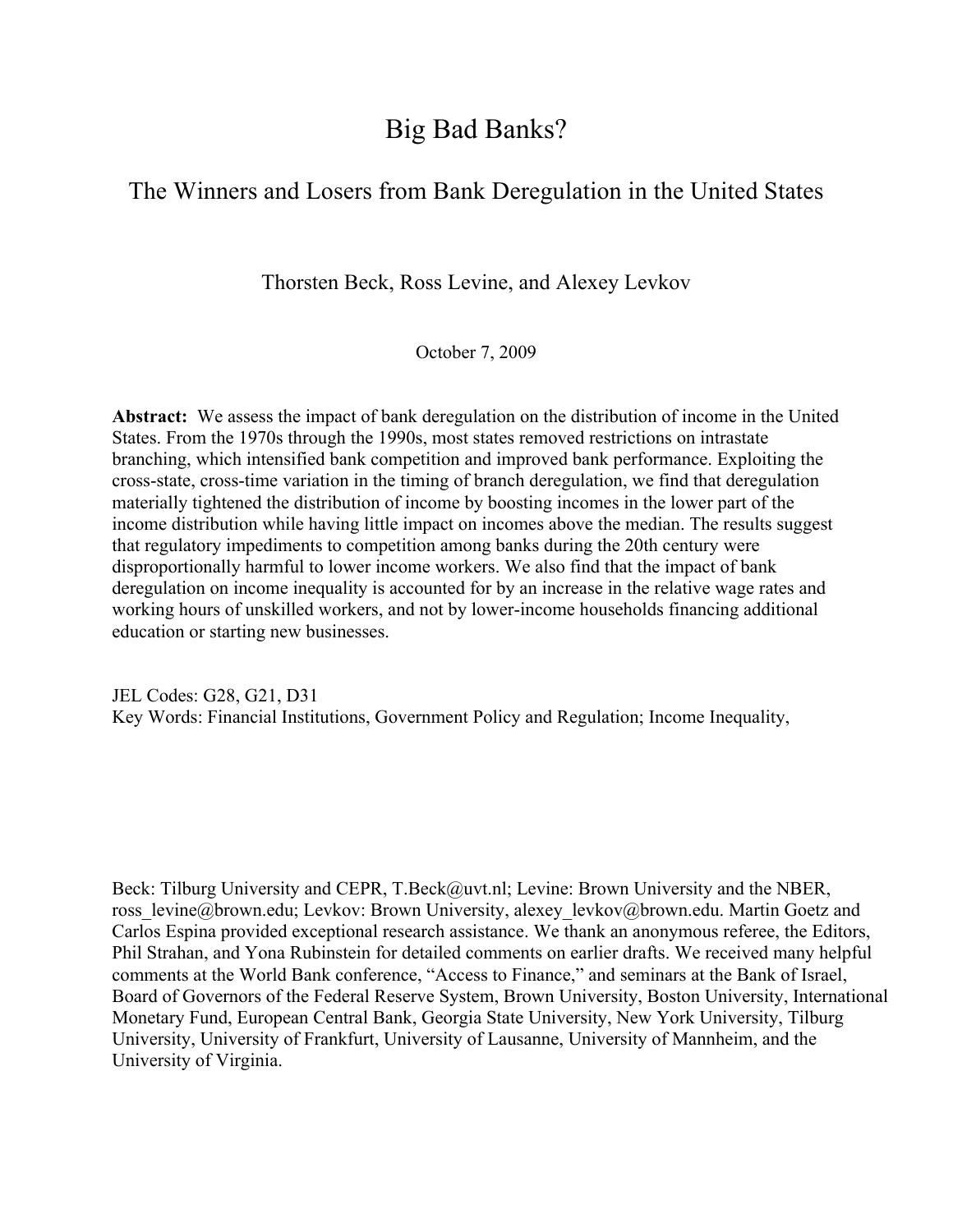# Big Bad Banks?

# The Winners and Losers from Bank Deregulation in the United States

Thorsten Beck, Ross Levine, and Alexey Levkov

October 7, 2009

**Abstract:** We assess the impact of bank deregulation on the distribution of income in the United States. From the 1970s through the 1990s, most states removed restrictions on intrastate branching, which intensified bank competition and improved bank performance. Exploiting the cross-state, cross-time variation in the timing of branch deregulation, we find that deregulation materially tightened the distribution of income by boosting incomes in the lower part of the income distribution while having little impact on incomes above the median. The results suggest that regulatory impediments to competition among banks during the 20th century were disproportionally harmful to lower income workers. We also find that the impact of bank deregulation on income inequality is accounted for by an increase in the relative wage rates and working hours of unskilled workers, and not by lower-income households financing additional education or starting new businesses.

JEL Codes: G28, G21, D31 Key Words: Financial Institutions, Government Policy and Regulation; Income Inequality,

Beck: Tilburg University and CEPR, T.Beck@uvt.nl; Levine: Brown University and the NBER, ross\_levine@brown.edu; Levkov: Brown University, alexey\_levkov@brown.edu. Martin Goetz and Carlos Espina provided exceptional research assistance. We thank an anonymous referee, the Editors, Phil Strahan, and Yona Rubinstein for detailed comments on earlier drafts. We received many helpful comments at the World Bank conference, "Access to Finance," and seminars at the Bank of Israel, Board of Governors of the Federal Reserve System, Brown University, Boston University, International Monetary Fund, European Central Bank, Georgia State University, New York University, Tilburg University, University of Frankfurt, University of Lausanne, University of Mannheim, and the University of Virginia.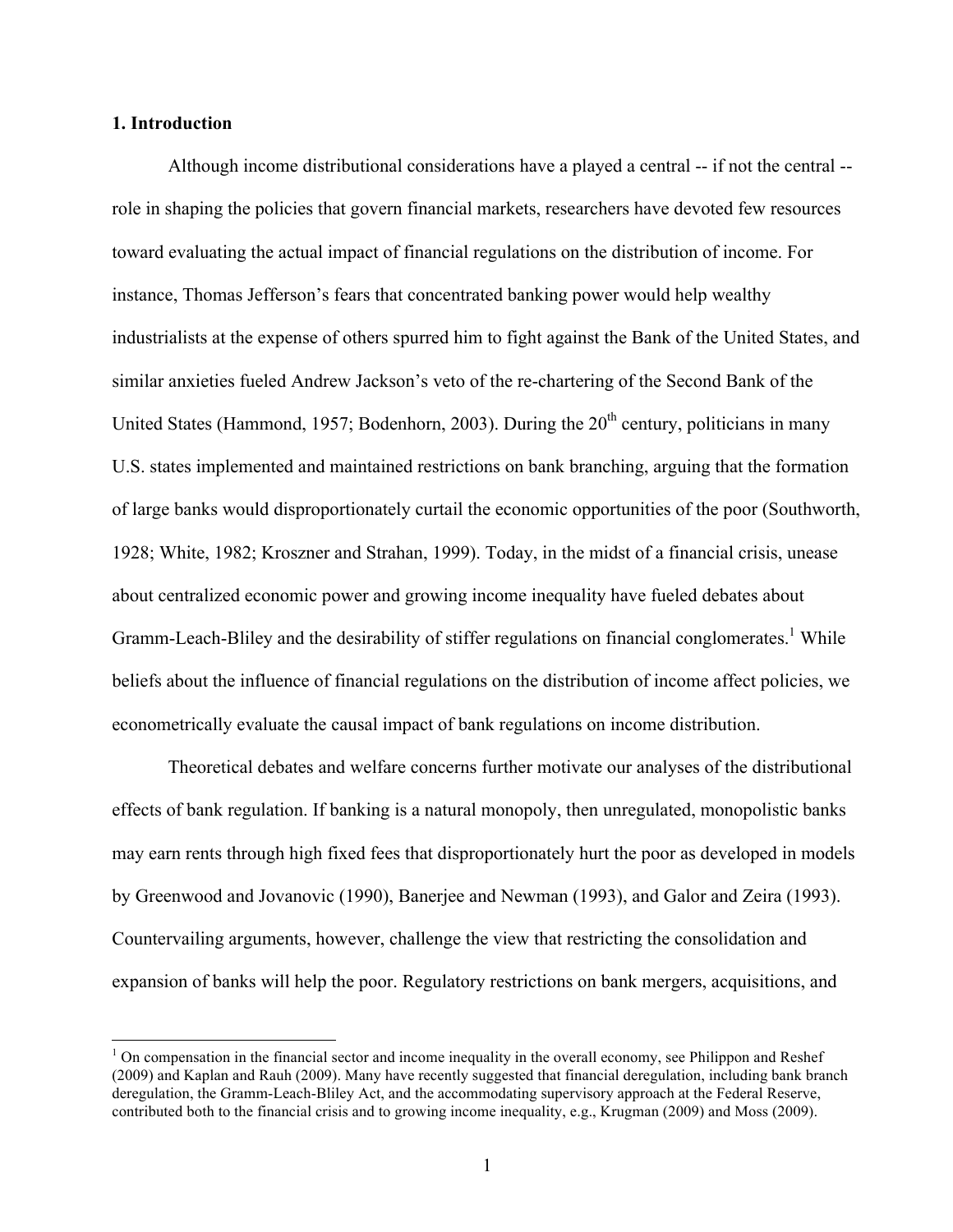# **1. Introduction**

Although income distributional considerations have a played a central -- if not the central - role in shaping the policies that govern financial markets, researchers have devoted few resources toward evaluating the actual impact of financial regulations on the distribution of income. For instance, Thomas Jefferson's fears that concentrated banking power would help wealthy industrialists at the expense of others spurred him to fight against the Bank of the United States, and similar anxieties fueled Andrew Jackson's veto of the re-chartering of the Second Bank of the United States (Hammond, 1957; Bodenhorn, 2003). During the  $20<sup>th</sup>$  century, politicians in many U.S. states implemented and maintained restrictions on bank branching, arguing that the formation of large banks would disproportionately curtail the economic opportunities of the poor (Southworth, 1928; White, 1982; Kroszner and Strahan, 1999). Today, in the midst of a financial crisis, unease about centralized economic power and growing income inequality have fueled debates about Gramm-Leach-Bliley and the desirability of stiffer regulations on financial conglomerates.<sup>1</sup> While beliefs about the influence of financial regulations on the distribution of income affect policies, we econometrically evaluate the causal impact of bank regulations on income distribution.

Theoretical debates and welfare concerns further motivate our analyses of the distributional effects of bank regulation. If banking is a natural monopoly, then unregulated, monopolistic banks may earn rents through high fixed fees that disproportionately hurt the poor as developed in models by Greenwood and Jovanovic (1990), Banerjee and Newman (1993), and Galor and Zeira (1993). Countervailing arguments, however, challenge the view that restricting the consolidation and expansion of banks will help the poor. Regulatory restrictions on bank mergers, acquisitions, and

 $<sup>1</sup>$  On compensation in the financial sector and income inequality in the overall economy, see Philippon and Reshef</sup> (2009) and Kaplan and Rauh (2009). Many have recently suggested that financial deregulation, including bank branch deregulation, the Gramm-Leach-Bliley Act, and the accommodating supervisory approach at the Federal Reserve, contributed both to the financial crisis and to growing income inequality, e.g., Krugman (2009) and Moss (2009).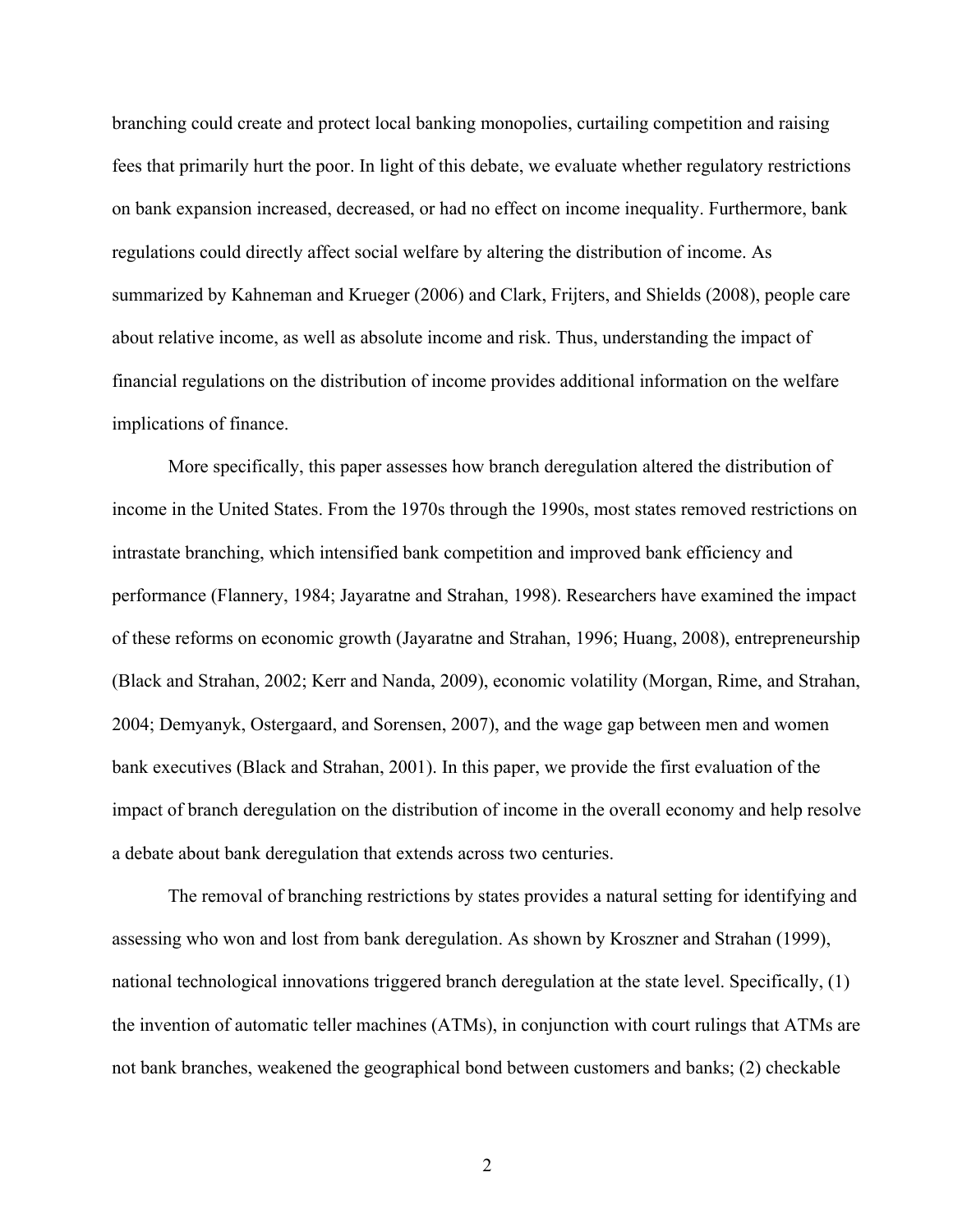branching could create and protect local banking monopolies, curtailing competition and raising fees that primarily hurt the poor. In light of this debate, we evaluate whether regulatory restrictions on bank expansion increased, decreased, or had no effect on income inequality. Furthermore, bank regulations could directly affect social welfare by altering the distribution of income. As summarized by Kahneman and Krueger (2006) and Clark, Frijters, and Shields (2008), people care about relative income, as well as absolute income and risk. Thus, understanding the impact of financial regulations on the distribution of income provides additional information on the welfare implications of finance.

More specifically, this paper assesses how branch deregulation altered the distribution of income in the United States. From the 1970s through the 1990s, most states removed restrictions on intrastate branching, which intensified bank competition and improved bank efficiency and performance (Flannery, 1984; Jayaratne and Strahan, 1998). Researchers have examined the impact of these reforms on economic growth (Jayaratne and Strahan, 1996; Huang, 2008), entrepreneurship (Black and Strahan, 2002; Kerr and Nanda, 2009), economic volatility (Morgan, Rime, and Strahan, 2004; Demyanyk, Ostergaard, and Sorensen, 2007), and the wage gap between men and women bank executives (Black and Strahan, 2001). In this paper, we provide the first evaluation of the impact of branch deregulation on the distribution of income in the overall economy and help resolve a debate about bank deregulation that extends across two centuries.

The removal of branching restrictions by states provides a natural setting for identifying and assessing who won and lost from bank deregulation. As shown by Kroszner and Strahan (1999), national technological innovations triggered branch deregulation at the state level. Specifically, (1) the invention of automatic teller machines (ATMs), in conjunction with court rulings that ATMs are not bank branches, weakened the geographical bond between customers and banks; (2) checkable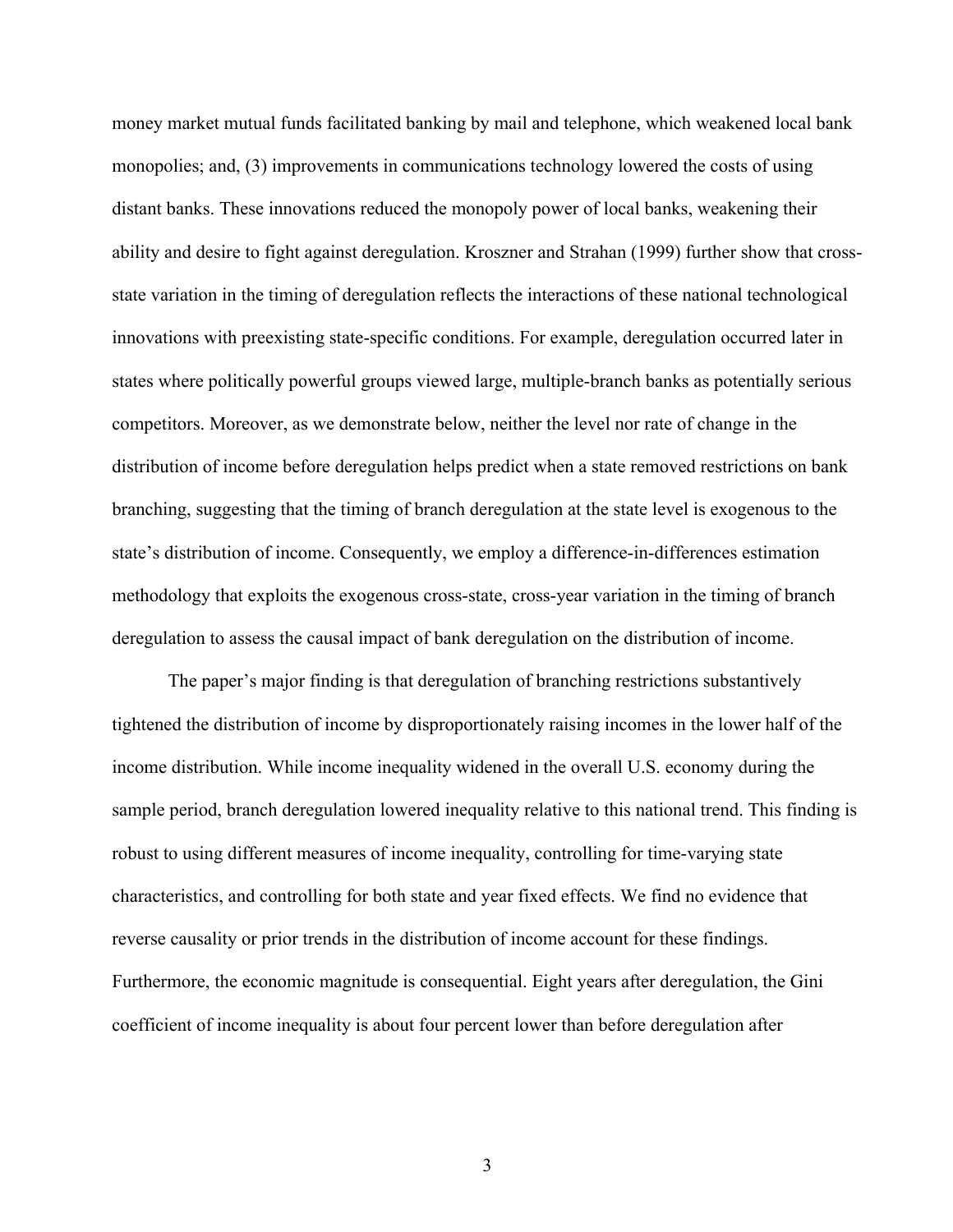money market mutual funds facilitated banking by mail and telephone, which weakened local bank monopolies; and, (3) improvements in communications technology lowered the costs of using distant banks. These innovations reduced the monopoly power of local banks, weakening their ability and desire to fight against deregulation. Kroszner and Strahan (1999) further show that crossstate variation in the timing of deregulation reflects the interactions of these national technological innovations with preexisting state-specific conditions. For example, deregulation occurred later in states where politically powerful groups viewed large, multiple-branch banks as potentially serious competitors. Moreover, as we demonstrate below, neither the level nor rate of change in the distribution of income before deregulation helps predict when a state removed restrictions on bank branching, suggesting that the timing of branch deregulation at the state level is exogenous to the state's distribution of income. Consequently, we employ a difference-in-differences estimation methodology that exploits the exogenous cross-state, cross-year variation in the timing of branch deregulation to assess the causal impact of bank deregulation on the distribution of income.

 The paper's major finding is that deregulation of branching restrictions substantively tightened the distribution of income by disproportionately raising incomes in the lower half of the income distribution. While income inequality widened in the overall U.S. economy during the sample period, branch deregulation lowered inequality relative to this national trend. This finding is robust to using different measures of income inequality, controlling for time-varying state characteristics, and controlling for both state and year fixed effects. We find no evidence that reverse causality or prior trends in the distribution of income account for these findings. Furthermore, the economic magnitude is consequential. Eight years after deregulation, the Gini coefficient of income inequality is about four percent lower than before deregulation after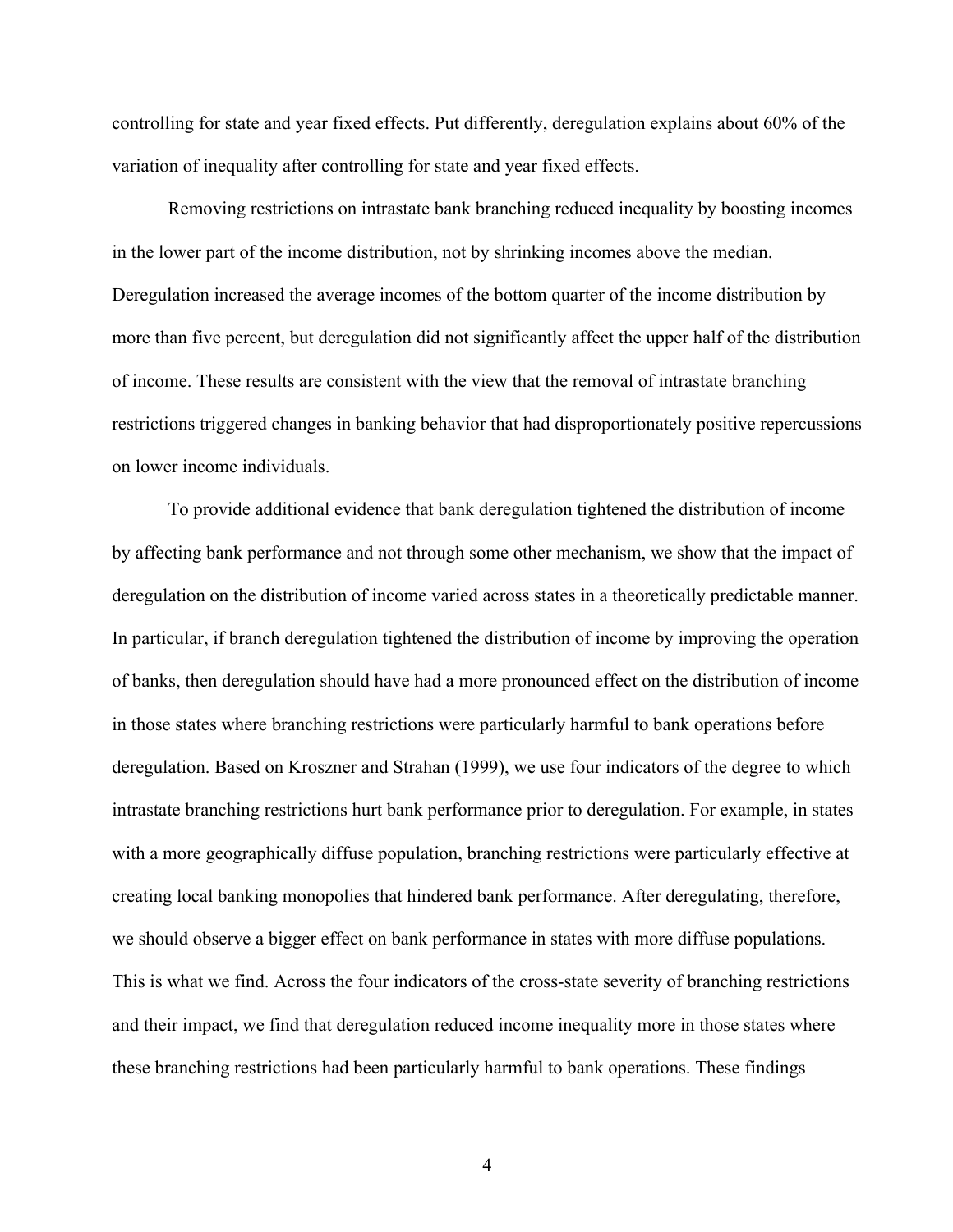controlling for state and year fixed effects. Put differently, deregulation explains about 60% of the variation of inequality after controlling for state and year fixed effects.

Removing restrictions on intrastate bank branching reduced inequality by boosting incomes in the lower part of the income distribution, not by shrinking incomes above the median. Deregulation increased the average incomes of the bottom quarter of the income distribution by more than five percent, but deregulation did not significantly affect the upper half of the distribution of income. These results are consistent with the view that the removal of intrastate branching restrictions triggered changes in banking behavior that had disproportionately positive repercussions on lower income individuals.

To provide additional evidence that bank deregulation tightened the distribution of income by affecting bank performance and not through some other mechanism, we show that the impact of deregulation on the distribution of income varied across states in a theoretically predictable manner. In particular, if branch deregulation tightened the distribution of income by improving the operation of banks, then deregulation should have had a more pronounced effect on the distribution of income in those states where branching restrictions were particularly harmful to bank operations before deregulation. Based on Kroszner and Strahan (1999), we use four indicators of the degree to which intrastate branching restrictions hurt bank performance prior to deregulation. For example, in states with a more geographically diffuse population, branching restrictions were particularly effective at creating local banking monopolies that hindered bank performance. After deregulating, therefore, we should observe a bigger effect on bank performance in states with more diffuse populations. This is what we find. Across the four indicators of the cross-state severity of branching restrictions and their impact, we find that deregulation reduced income inequality more in those states where these branching restrictions had been particularly harmful to bank operations. These findings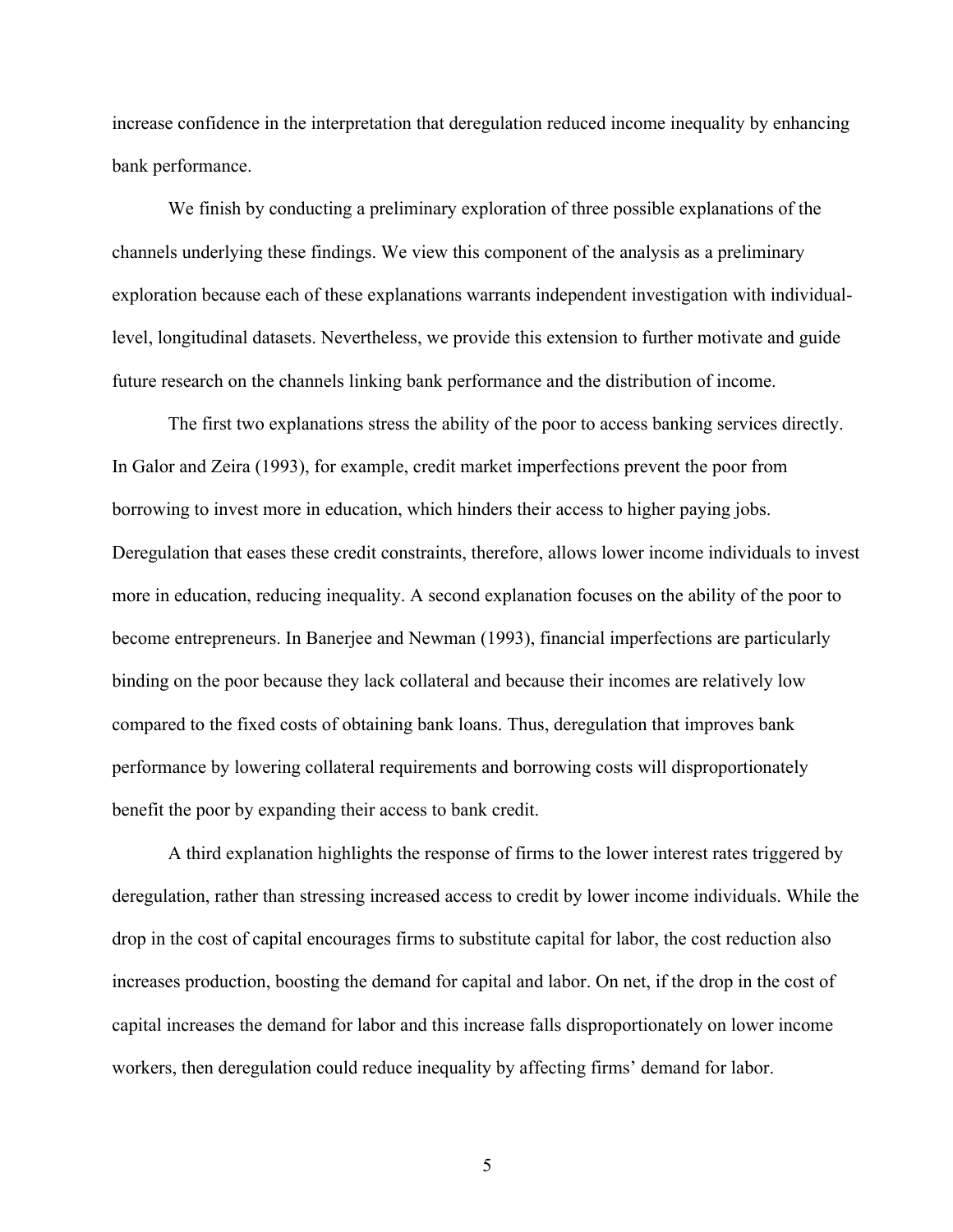increase confidence in the interpretation that deregulation reduced income inequality by enhancing bank performance.

We finish by conducting a preliminary exploration of three possible explanations of the channels underlying these findings. We view this component of the analysis as a preliminary exploration because each of these explanations warrants independent investigation with individuallevel, longitudinal datasets. Nevertheless, we provide this extension to further motivate and guide future research on the channels linking bank performance and the distribution of income.

The first two explanations stress the ability of the poor to access banking services directly. In Galor and Zeira (1993), for example, credit market imperfections prevent the poor from borrowing to invest more in education, which hinders their access to higher paying jobs. Deregulation that eases these credit constraints, therefore, allows lower income individuals to invest more in education, reducing inequality. A second explanation focuses on the ability of the poor to become entrepreneurs. In Banerjee and Newman (1993), financial imperfections are particularly binding on the poor because they lack collateral and because their incomes are relatively low compared to the fixed costs of obtaining bank loans. Thus, deregulation that improves bank performance by lowering collateral requirements and borrowing costs will disproportionately benefit the poor by expanding their access to bank credit.

A third explanation highlights the response of firms to the lower interest rates triggered by deregulation, rather than stressing increased access to credit by lower income individuals. While the drop in the cost of capital encourages firms to substitute capital for labor, the cost reduction also increases production, boosting the demand for capital and labor. On net, if the drop in the cost of capital increases the demand for labor and this increase falls disproportionately on lower income workers, then deregulation could reduce inequality by affecting firms' demand for labor.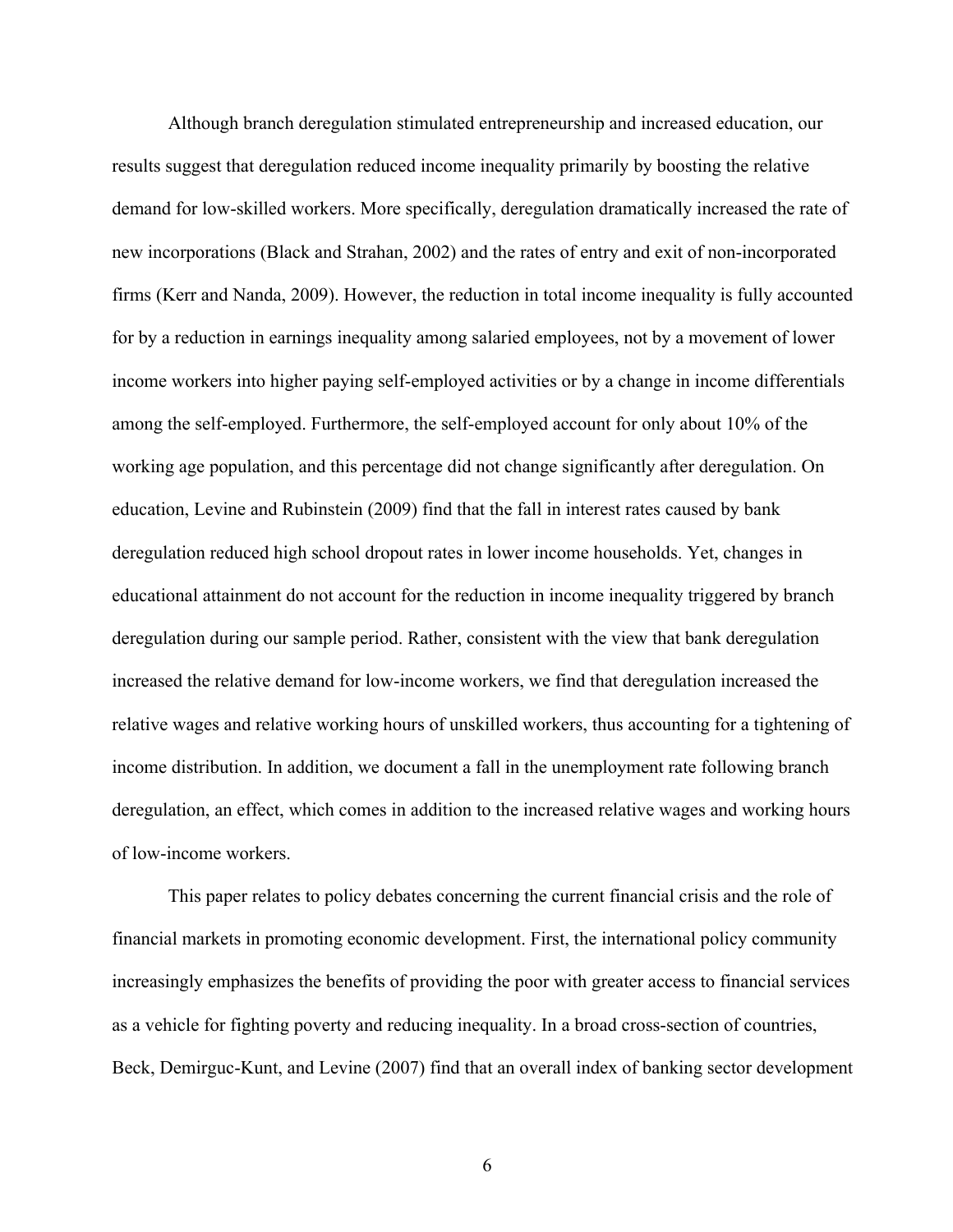Although branch deregulation stimulated entrepreneurship and increased education, our results suggest that deregulation reduced income inequality primarily by boosting the relative demand for low-skilled workers. More specifically, deregulation dramatically increased the rate of new incorporations (Black and Strahan, 2002) and the rates of entry and exit of non-incorporated firms (Kerr and Nanda, 2009). However, the reduction in total income inequality is fully accounted for by a reduction in earnings inequality among salaried employees, not by a movement of lower income workers into higher paying self-employed activities or by a change in income differentials among the self-employed. Furthermore, the self-employed account for only about 10% of the working age population, and this percentage did not change significantly after deregulation. On education, Levine and Rubinstein (2009) find that the fall in interest rates caused by bank deregulation reduced high school dropout rates in lower income households. Yet, changes in educational attainment do not account for the reduction in income inequality triggered by branch deregulation during our sample period. Rather, consistent with the view that bank deregulation increased the relative demand for low-income workers, we find that deregulation increased the relative wages and relative working hours of unskilled workers, thus accounting for a tightening of income distribution. In addition, we document a fall in the unemployment rate following branch deregulation, an effect, which comes in addition to the increased relative wages and working hours of low-income workers.

This paper relates to policy debates concerning the current financial crisis and the role of financial markets in promoting economic development. First, the international policy community increasingly emphasizes the benefits of providing the poor with greater access to financial services as a vehicle for fighting poverty and reducing inequality. In a broad cross-section of countries, Beck, Demirguc-Kunt, and Levine (2007) find that an overall index of banking sector development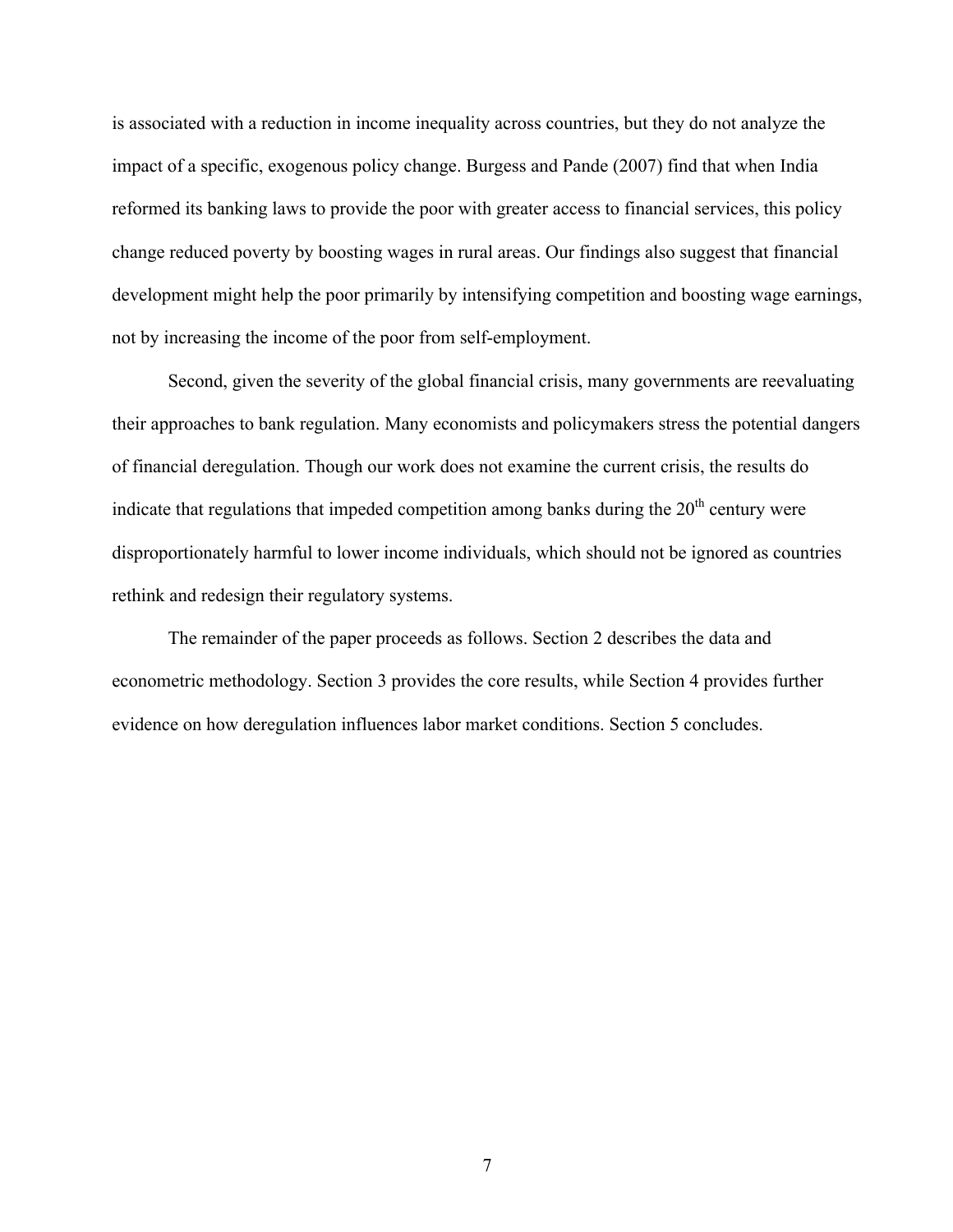is associated with a reduction in income inequality across countries, but they do not analyze the impact of a specific, exogenous policy change. Burgess and Pande (2007) find that when India reformed its banking laws to provide the poor with greater access to financial services, this policy change reduced poverty by boosting wages in rural areas. Our findings also suggest that financial development might help the poor primarily by intensifying competition and boosting wage earnings, not by increasing the income of the poor from self-employment.

Second, given the severity of the global financial crisis, many governments are reevaluating their approaches to bank regulation. Many economists and policymakers stress the potential dangers of financial deregulation. Though our work does not examine the current crisis, the results do indicate that regulations that impeded competition among banks during the  $20<sup>th</sup>$  century were disproportionately harmful to lower income individuals, which should not be ignored as countries rethink and redesign their regulatory systems.

The remainder of the paper proceeds as follows. Section 2 describes the data and econometric methodology. Section 3 provides the core results, while Section 4 provides further evidence on how deregulation influences labor market conditions. Section 5 concludes.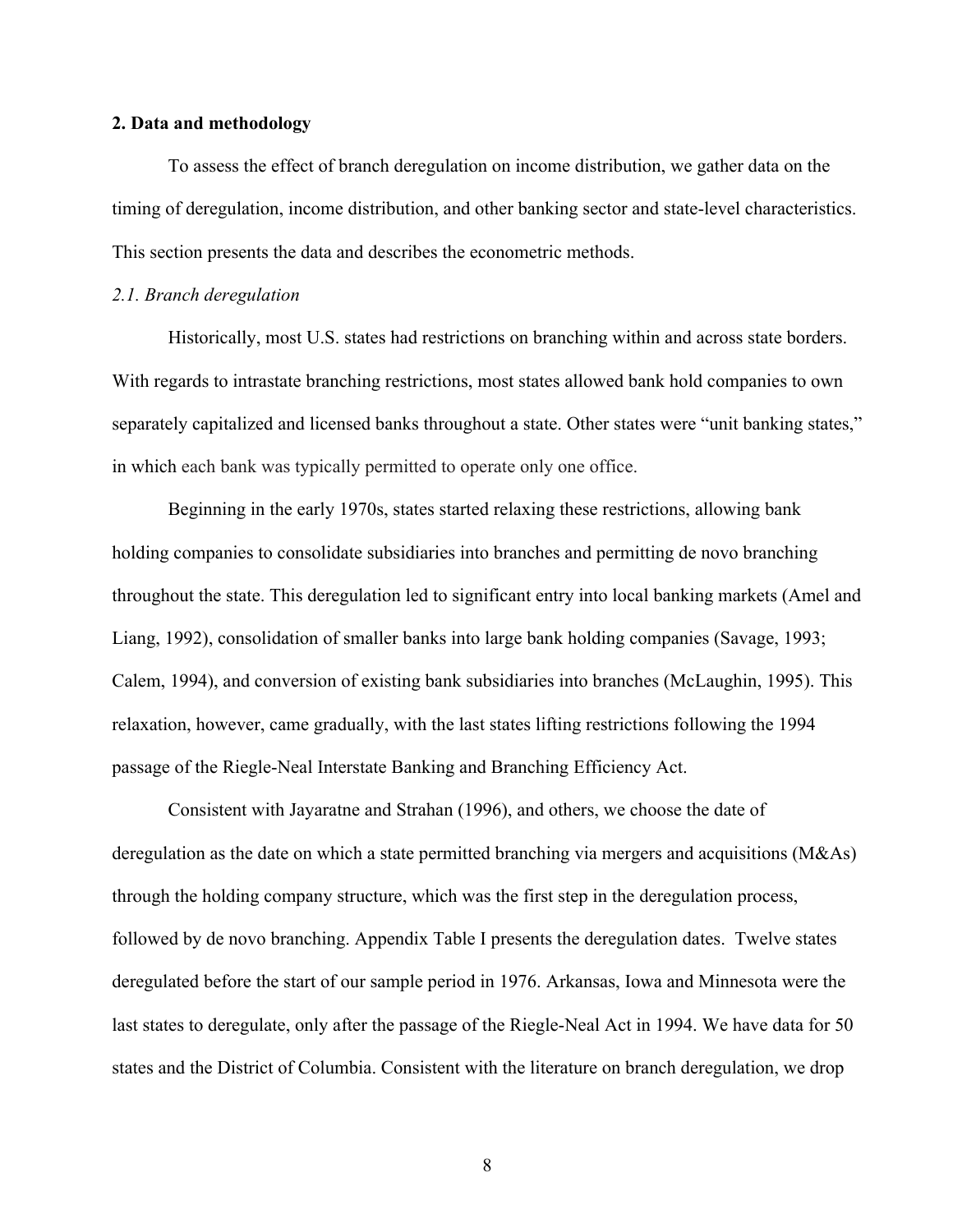# **2. Data and methodology**

To assess the effect of branch deregulation on income distribution, we gather data on the timing of deregulation, income distribution, and other banking sector and state-level characteristics. This section presents the data and describes the econometric methods.

#### *2.1. Branch deregulation*

Historically, most U.S. states had restrictions on branching within and across state borders. With regards to intrastate branching restrictions, most states allowed bank hold companies to own separately capitalized and licensed banks throughout a state. Other states were "unit banking states," in which each bank was typically permitted to operate only one office.

Beginning in the early 1970s, states started relaxing these restrictions, allowing bank holding companies to consolidate subsidiaries into branches and permitting de novo branching throughout the state. This deregulation led to significant entry into local banking markets (Amel and Liang, 1992), consolidation of smaller banks into large bank holding companies (Savage, 1993; Calem, 1994), and conversion of existing bank subsidiaries into branches (McLaughin, 1995). This relaxation, however, came gradually, with the last states lifting restrictions following the 1994 passage of the Riegle-Neal Interstate Banking and Branching Efficiency Act.

Consistent with Jayaratne and Strahan (1996), and others, we choose the date of deregulation as the date on which a state permitted branching via mergers and acquisitions (M&As) through the holding company structure, which was the first step in the deregulation process, followed by de novo branching. Appendix Table I presents the deregulation dates. Twelve states deregulated before the start of our sample period in 1976. Arkansas, Iowa and Minnesota were the last states to deregulate, only after the passage of the Riegle-Neal Act in 1994. We have data for 50 states and the District of Columbia. Consistent with the literature on branch deregulation, we drop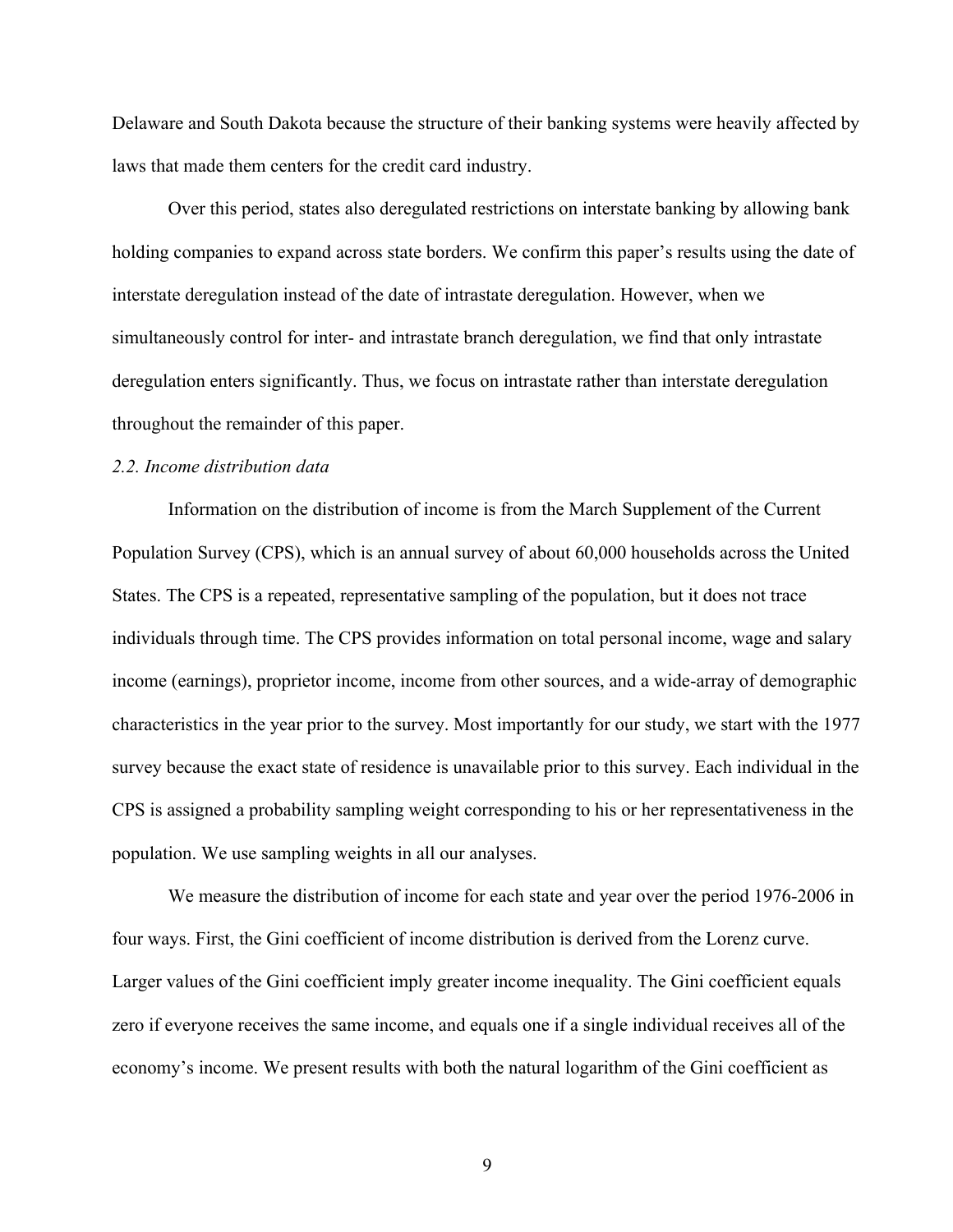Delaware and South Dakota because the structure of their banking systems were heavily affected by laws that made them centers for the credit card industry.

Over this period, states also deregulated restrictions on interstate banking by allowing bank holding companies to expand across state borders. We confirm this paper's results using the date of interstate deregulation instead of the date of intrastate deregulation. However, when we simultaneously control for inter- and intrastate branch deregulation, we find that only intrastate deregulation enters significantly. Thus, we focus on intrastate rather than interstate deregulation throughout the remainder of this paper.

#### *2.2. Income distribution data*

Information on the distribution of income is from the March Supplement of the Current Population Survey (CPS), which is an annual survey of about 60,000 households across the United States. The CPS is a repeated, representative sampling of the population, but it does not trace individuals through time. The CPS provides information on total personal income, wage and salary income (earnings), proprietor income, income from other sources, and a wide-array of demographic characteristics in the year prior to the survey. Most importantly for our study, we start with the 1977 survey because the exact state of residence is unavailable prior to this survey. Each individual in the CPS is assigned a probability sampling weight corresponding to his or her representativeness in the population. We use sampling weights in all our analyses.

We measure the distribution of income for each state and year over the period 1976-2006 in four ways. First, the Gini coefficient of income distribution is derived from the Lorenz curve. Larger values of the Gini coefficient imply greater income inequality. The Gini coefficient equals zero if everyone receives the same income, and equals one if a single individual receives all of the economy's income. We present results with both the natural logarithm of the Gini coefficient as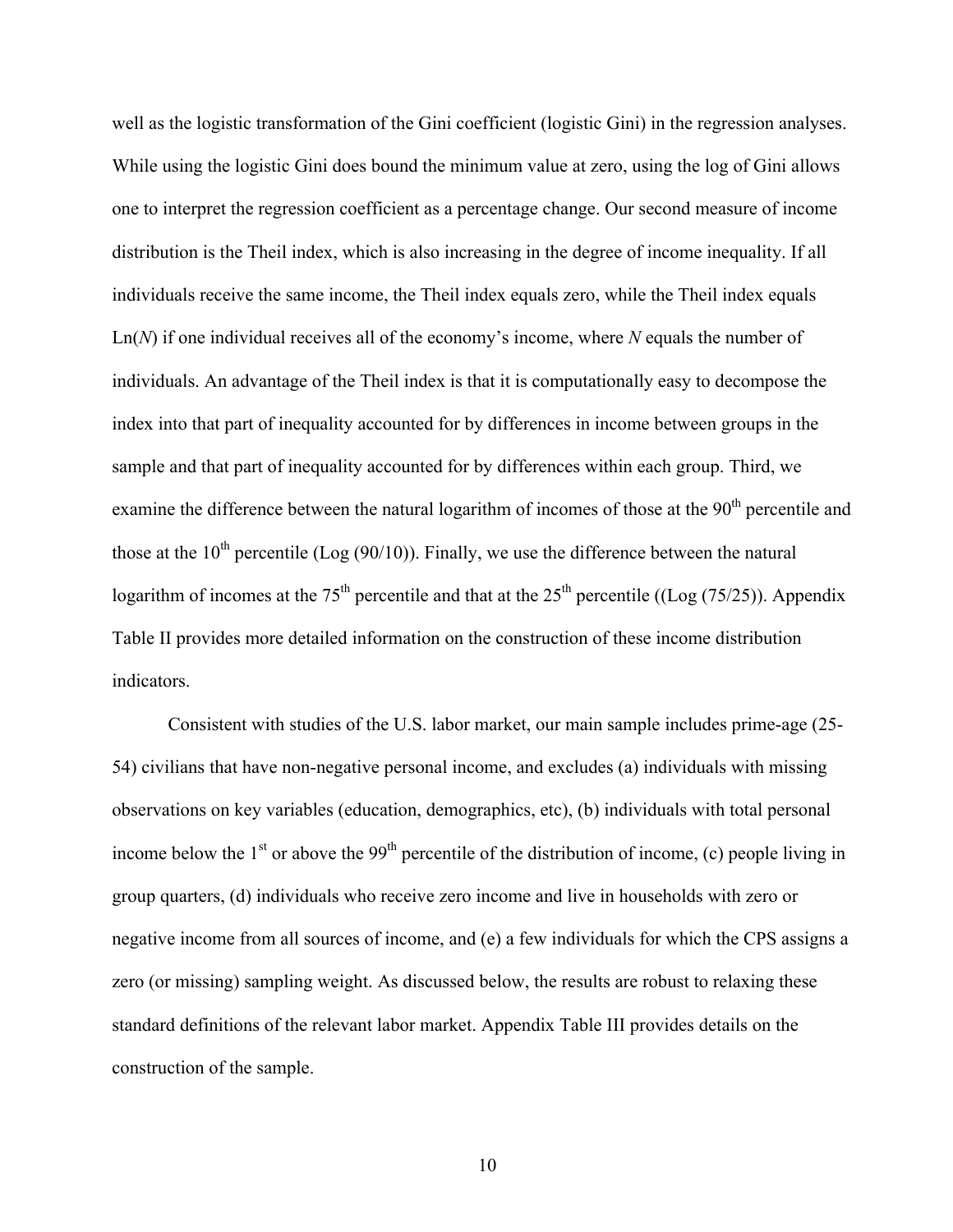well as the logistic transformation of the Gini coefficient (logistic Gini) in the regression analyses. While using the logistic Gini does bound the minimum value at zero, using the log of Gini allows one to interpret the regression coefficient as a percentage change. Our second measure of income distribution is the Theil index, which is also increasing in the degree of income inequality. If all individuals receive the same income, the Theil index equals zero, while the Theil index equals Ln(*N*) if one individual receives all of the economy's income, where *N* equals the number of individuals. An advantage of the Theil index is that it is computationally easy to decompose the index into that part of inequality accounted for by differences in income between groups in the sample and that part of inequality accounted for by differences within each group. Third, we examine the difference between the natural logarithm of incomes of those at the 90<sup>th</sup> percentile and those at the  $10^{th}$  percentile (Log (90/10)). Finally, we use the difference between the natural logarithm of incomes at the 75<sup>th</sup> percentile and that at the 25<sup>th</sup> percentile ((Log (75/25)). Appendix Table II provides more detailed information on the construction of these income distribution indicators.

Consistent with studies of the U.S. labor market, our main sample includes prime-age (25- 54) civilians that have non-negative personal income, and excludes (a) individuals with missing observations on key variables (education, demographics, etc), (b) individuals with total personal income below the  $1<sup>st</sup>$  or above the 99<sup>th</sup> percentile of the distribution of income, (c) people living in group quarters, (d) individuals who receive zero income and live in households with zero or negative income from all sources of income, and (e) a few individuals for which the CPS assigns a zero (or missing) sampling weight. As discussed below, the results are robust to relaxing these standard definitions of the relevant labor market. Appendix Table III provides details on the construction of the sample.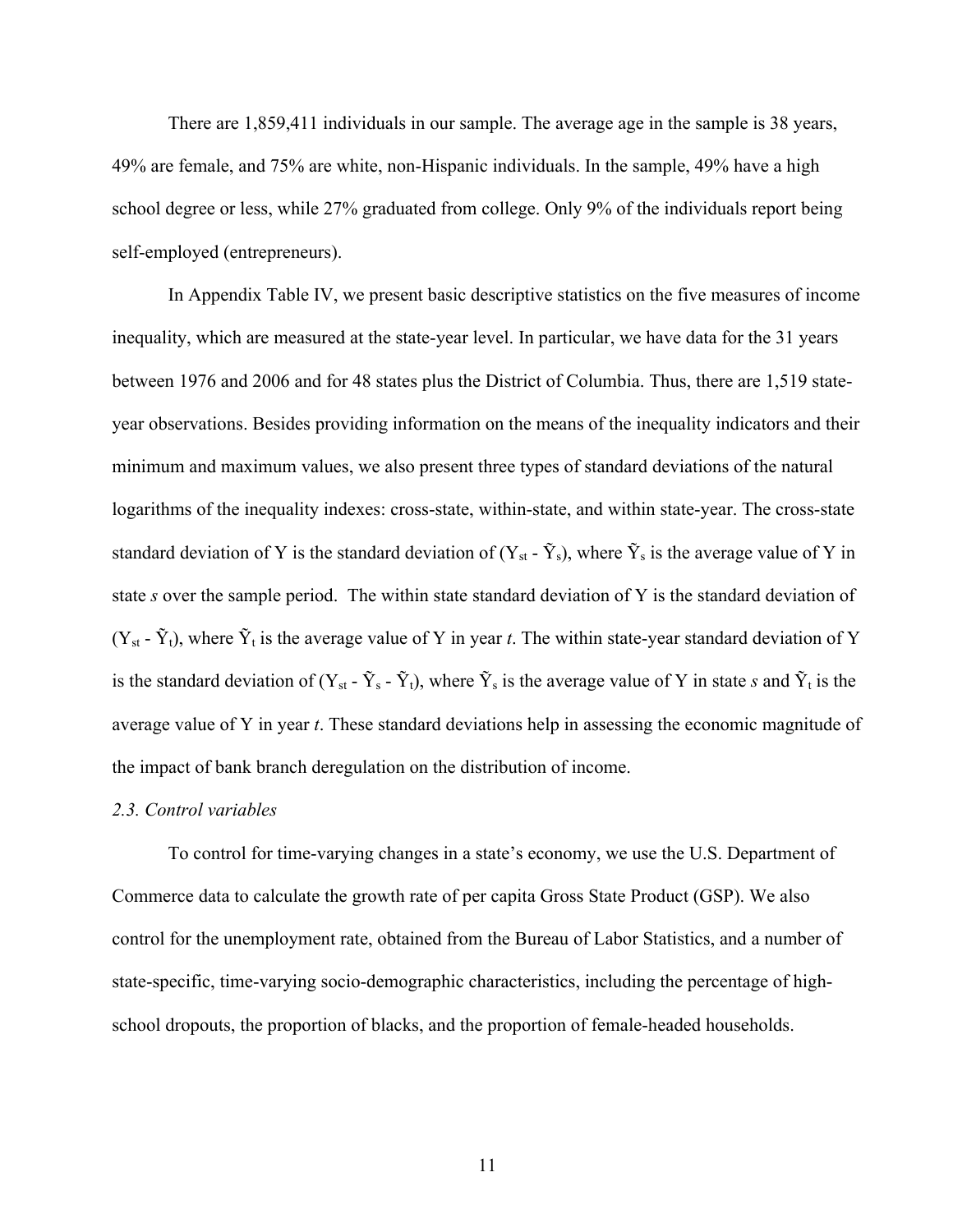There are 1,859,411 individuals in our sample. The average age in the sample is 38 years, 49% are female, and 75% are white, non-Hispanic individuals. In the sample, 49% have a high school degree or less, while 27% graduated from college. Only 9% of the individuals report being self-employed (entrepreneurs).

In Appendix Table IV, we present basic descriptive statistics on the five measures of income inequality, which are measured at the state-year level. In particular, we have data for the 31 years between 1976 and 2006 and for 48 states plus the District of Columbia. Thus, there are 1,519 stateyear observations. Besides providing information on the means of the inequality indicators and their minimum and maximum values, we also present three types of standard deviations of the natural logarithms of the inequality indexes: cross-state, within-state, and within state-year. The cross-state standard deviation of Y is the standard deviation of  $(Y_{st} - \tilde{Y}_s)$ , where  $\tilde{Y}_s$  is the average value of Y in state *s* over the sample period. The within state standard deviation of Y is the standard deviation of  $(Y_{st} - \tilde{Y}_t)$ , where  $\tilde{Y}_t$  is the average value of Y in year *t*. The within state-year standard deviation of Y is the standard deviation of  $(Y_{st} - \tilde{Y}_s - \tilde{Y}_t)$ , where  $\tilde{Y}_s$  is the average value of Y in state *s* and  $\tilde{Y}_t$  is the average value of Y in year *t*. These standard deviations help in assessing the economic magnitude of the impact of bank branch deregulation on the distribution of income.

#### *2.3. Control variables*

To control for time-varying changes in a state's economy, we use the U.S. Department of Commerce data to calculate the growth rate of per capita Gross State Product (GSP). We also control for the unemployment rate, obtained from the Bureau of Labor Statistics, and a number of state-specific, time-varying socio-demographic characteristics, including the percentage of highschool dropouts, the proportion of blacks, and the proportion of female-headed households.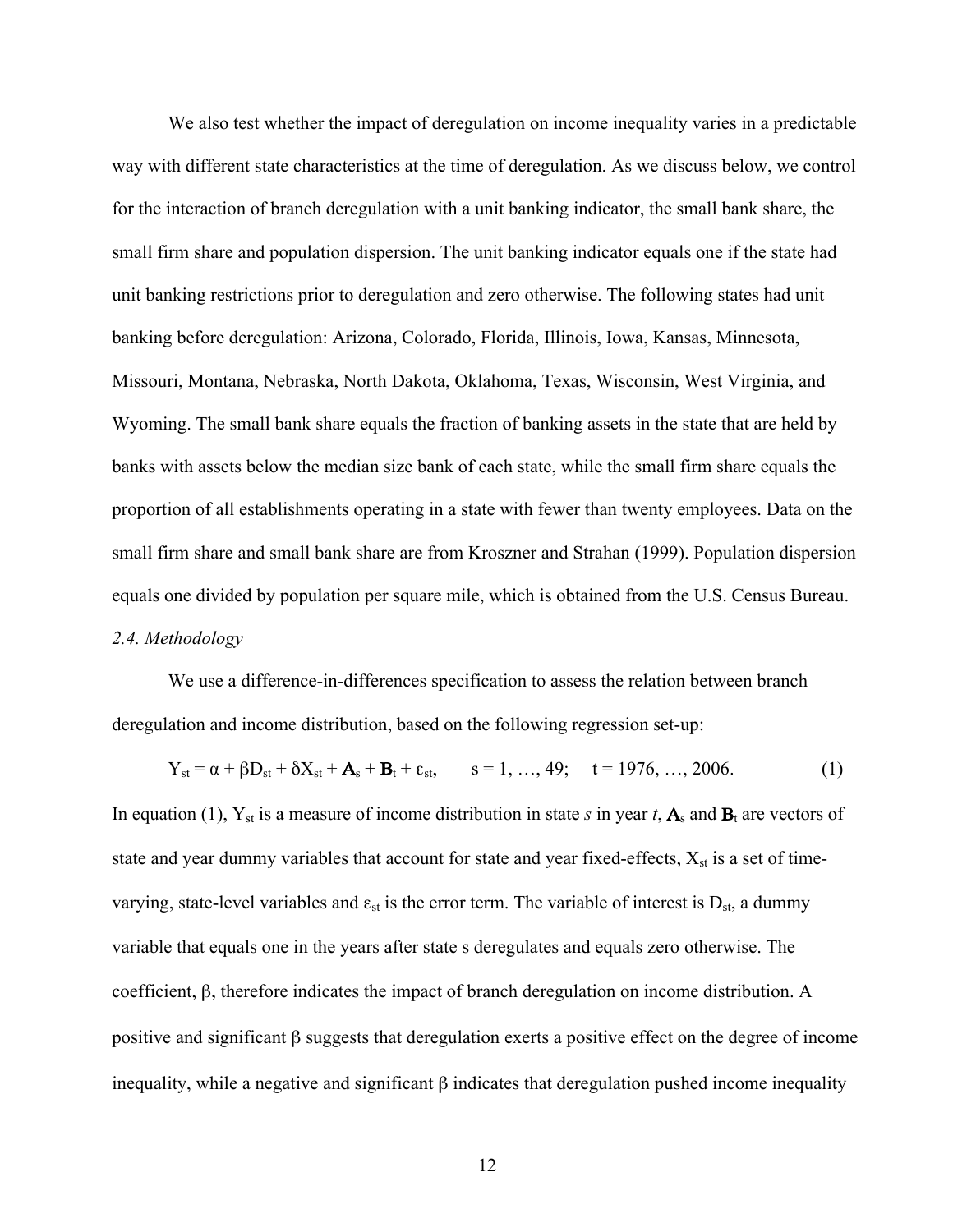We also test whether the impact of deregulation on income inequality varies in a predictable way with different state characteristics at the time of deregulation. As we discuss below, we control for the interaction of branch deregulation with a unit banking indicator, the small bank share, the small firm share and population dispersion. The unit banking indicator equals one if the state had unit banking restrictions prior to deregulation and zero otherwise. The following states had unit banking before deregulation: Arizona, Colorado, Florida, Illinois, Iowa, Kansas, Minnesota, Missouri, Montana, Nebraska, North Dakota, Oklahoma, Texas, Wisconsin, West Virginia, and Wyoming. The small bank share equals the fraction of banking assets in the state that are held by banks with assets below the median size bank of each state, while the small firm share equals the proportion of all establishments operating in a state with fewer than twenty employees. Data on the small firm share and small bank share are from Kroszner and Strahan (1999). Population dispersion equals one divided by population per square mile, which is obtained from the U.S. Census Bureau. *2.4. Methodology*

We use a difference-in-differences specification to assess the relation between branch deregulation and income distribution, based on the following regression set-up:

$$
Y_{st} = \alpha + \beta D_{st} + \delta X_{st} + A_s + B_t + \varepsilon_{st}, \qquad s = 1, ..., 49; \quad t = 1976, ..., 2006.
$$
 (1)

In equation (1),  $Y_{st}$  is a measure of income distribution in state *s* in year *t*,  $A_s$  and  $B_t$  are vectors of state and year dummy variables that account for state and year fixed-effects,  $X_{st}$  is a set of timevarying, state-level variables and  $\varepsilon_{st}$  is the error term. The variable of interest is  $D_{st}$ , a dummy variable that equals one in the years after state s deregulates and equals zero otherwise. The coefficient, β, therefore indicates the impact of branch deregulation on income distribution. A positive and significant β suggests that deregulation exerts a positive effect on the degree of income inequality, while a negative and significant  $\beta$  indicates that deregulation pushed income inequality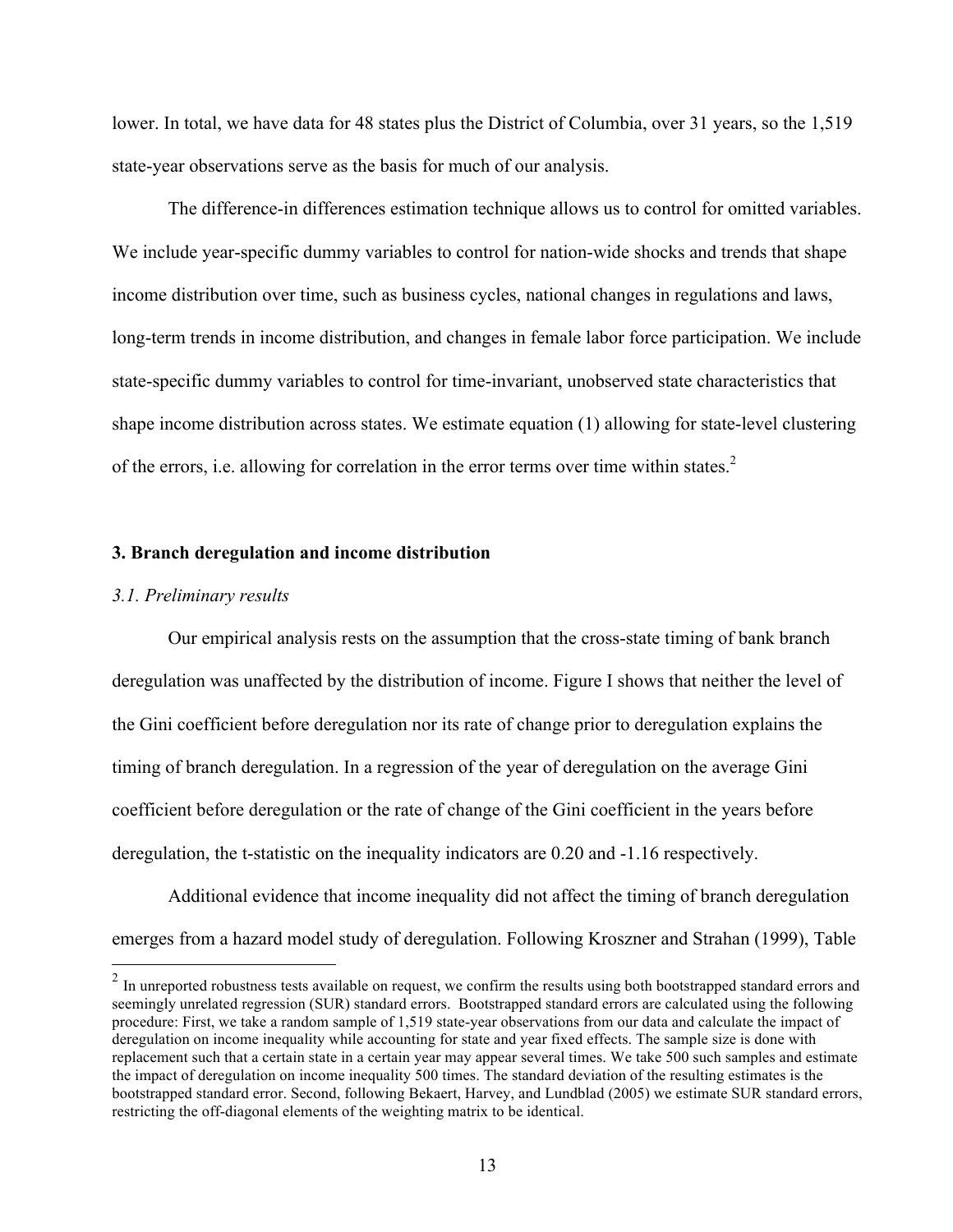lower. In total, we have data for 48 states plus the District of Columbia, over 31 years, so the 1,519 state-year observations serve as the basis for much of our analysis.

The difference-in differences estimation technique allows us to control for omitted variables. We include year-specific dummy variables to control for nation-wide shocks and trends that shape income distribution over time, such as business cycles, national changes in regulations and laws, long-term trends in income distribution, and changes in female labor force participation. We include state-specific dummy variables to control for time-invariant, unobserved state characteristics that shape income distribution across states. We estimate equation (1) allowing for state-level clustering of the errors, i.e. allowing for correlation in the error terms over time within states.<sup>2</sup>

# **3. Branch deregulation and income distribution**

#### *3.1. Preliminary results*

Our empirical analysis rests on the assumption that the cross-state timing of bank branch deregulation was unaffected by the distribution of income. Figure I shows that neither the level of the Gini coefficient before deregulation nor its rate of change prior to deregulation explains the timing of branch deregulation. In a regression of the year of deregulation on the average Gini coefficient before deregulation or the rate of change of the Gini coefficient in the years before deregulation, the t-statistic on the inequality indicators are 0.20 and -1.16 respectively.

Additional evidence that income inequality did not affect the timing of branch deregulation emerges from a hazard model study of deregulation. Following Kroszner and Strahan (1999), Table

<sup>&</sup>lt;sup>2</sup> In unreported robustness tests available on request, we confirm the results using both bootstrapped standard errors and seemingly unrelated regression (SUR) standard errors. Bootstrapped standard errors are calculated using the following procedure: First, we take a random sample of 1,519 state-year observations from our data and calculate the impact of deregulation on income inequality while accounting for state and year fixed effects. The sample size is done with replacement such that a certain state in a certain year may appear several times. We take 500 such samples and estimate the impact of deregulation on income inequality 500 times. The standard deviation of the resulting estimates is the bootstrapped standard error. Second, following Bekaert, Harvey, and Lundblad (2005) we estimate SUR standard errors, restricting the off-diagonal elements of the weighting matrix to be identical.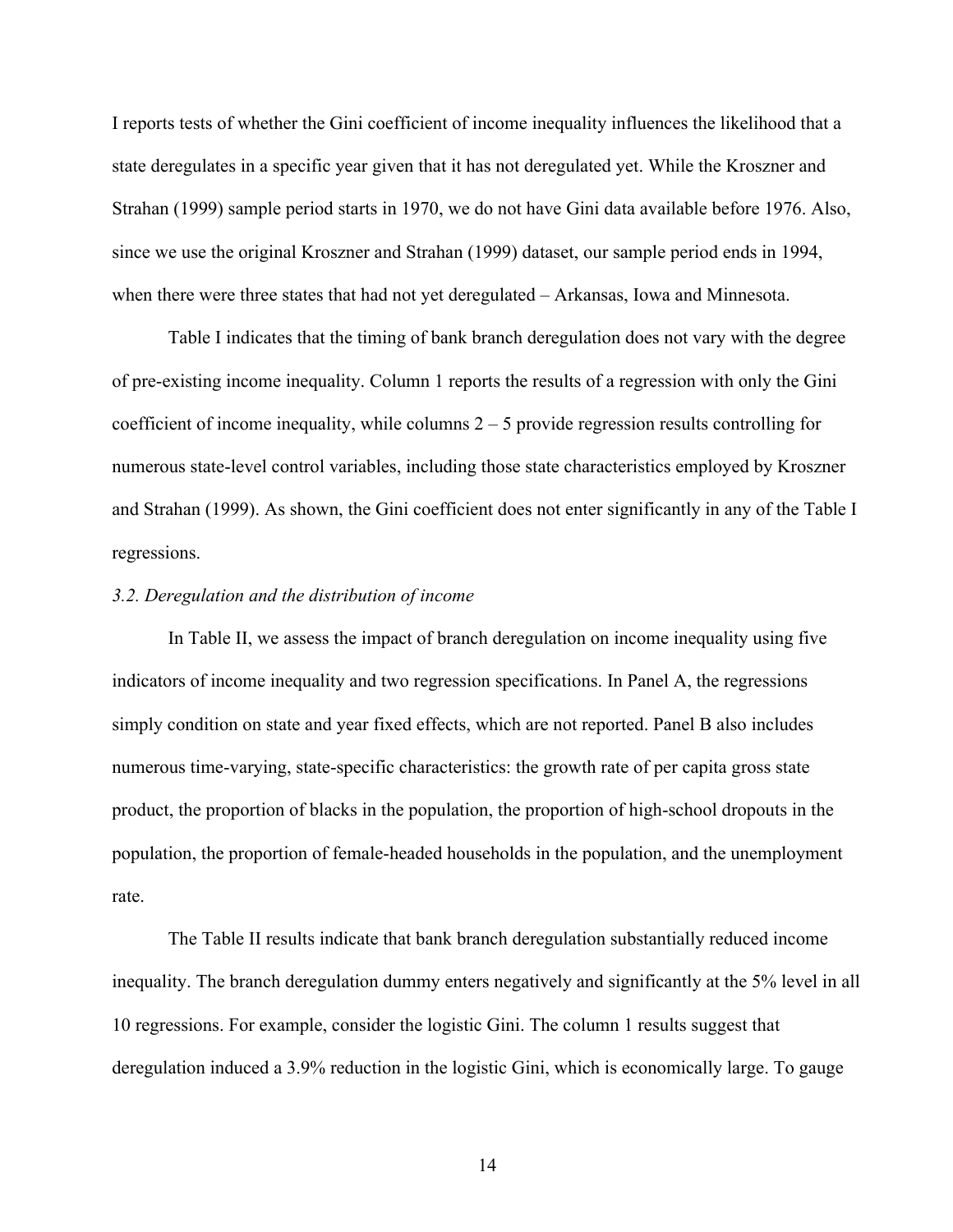I reports tests of whether the Gini coefficient of income inequality influences the likelihood that a state deregulates in a specific year given that it has not deregulated yet. While the Kroszner and Strahan (1999) sample period starts in 1970, we do not have Gini data available before 1976. Also, since we use the original Kroszner and Strahan (1999) dataset, our sample period ends in 1994, when there were three states that had not yet deregulated – Arkansas, Iowa and Minnesota.

Table I indicates that the timing of bank branch deregulation does not vary with the degree of pre-existing income inequality. Column 1 reports the results of a regression with only the Gini coefficient of income inequality, while columns  $2 - 5$  provide regression results controlling for numerous state-level control variables, including those state characteristics employed by Kroszner and Strahan (1999). As shown, the Gini coefficient does not enter significantly in any of the Table I regressions.

#### *3.2. Deregulation and the distribution of income*

In Table II, we assess the impact of branch deregulation on income inequality using five indicators of income inequality and two regression specifications. In Panel A, the regressions simply condition on state and year fixed effects, which are not reported. Panel B also includes numerous time-varying, state-specific characteristics: the growth rate of per capita gross state product, the proportion of blacks in the population, the proportion of high-school dropouts in the population, the proportion of female-headed households in the population, and the unemployment rate.

The Table II results indicate that bank branch deregulation substantially reduced income inequality. The branch deregulation dummy enters negatively and significantly at the 5% level in all 10 regressions. For example, consider the logistic Gini. The column 1 results suggest that deregulation induced a 3.9% reduction in the logistic Gini, which is economically large. To gauge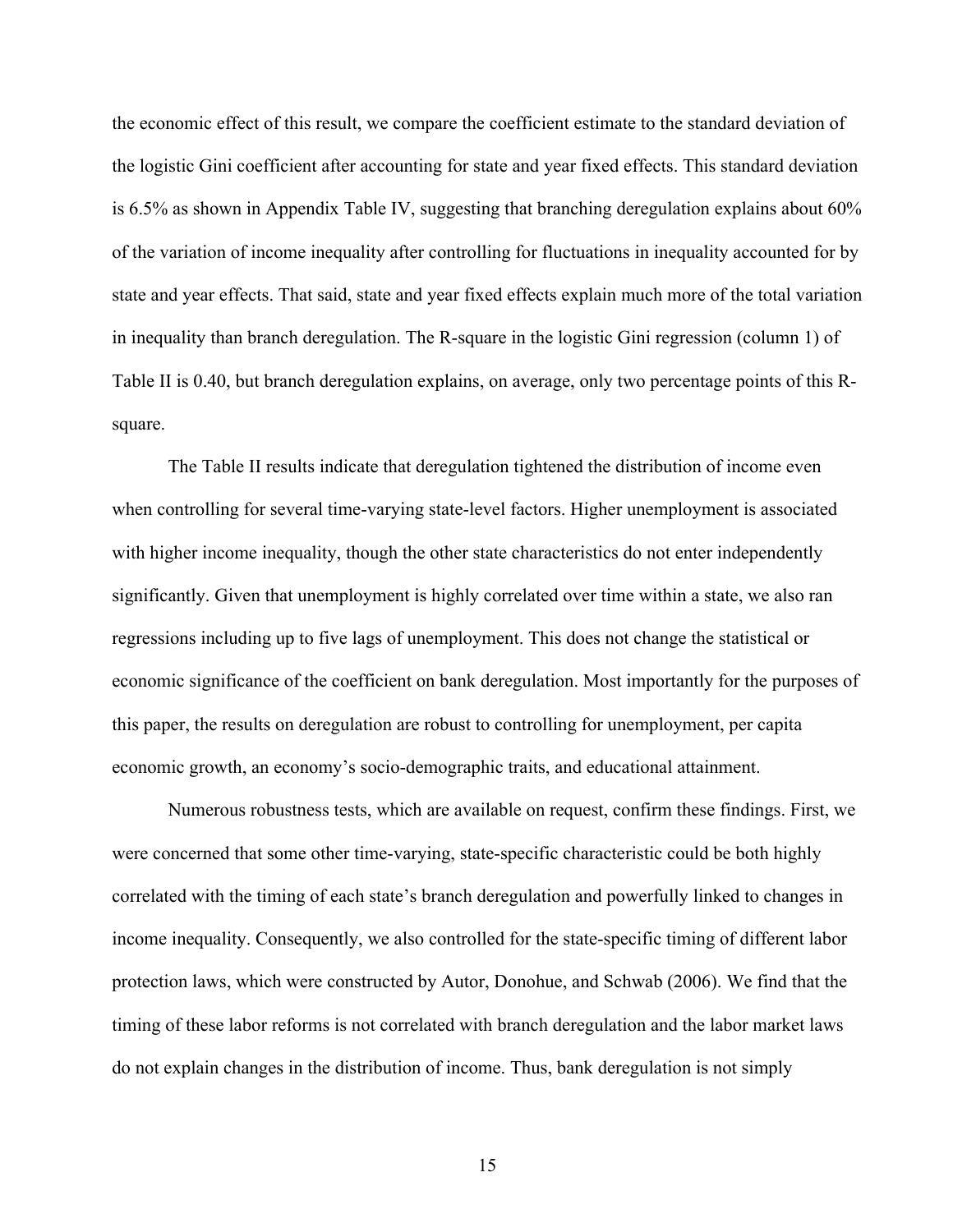the economic effect of this result, we compare the coefficient estimate to the standard deviation of the logistic Gini coefficient after accounting for state and year fixed effects. This standard deviation is 6.5% as shown in Appendix Table IV, suggesting that branching deregulation explains about 60% of the variation of income inequality after controlling for fluctuations in inequality accounted for by state and year effects. That said, state and year fixed effects explain much more of the total variation in inequality than branch deregulation. The R-square in the logistic Gini regression (column 1) of Table II is 0.40, but branch deregulation explains, on average, only two percentage points of this Rsquare.

The Table II results indicate that deregulation tightened the distribution of income even when controlling for several time-varying state-level factors. Higher unemployment is associated with higher income inequality, though the other state characteristics do not enter independently significantly. Given that unemployment is highly correlated over time within a state, we also ran regressions including up to five lags of unemployment. This does not change the statistical or economic significance of the coefficient on bank deregulation. Most importantly for the purposes of this paper, the results on deregulation are robust to controlling for unemployment, per capita economic growth, an economy's socio-demographic traits, and educational attainment.

Numerous robustness tests, which are available on request, confirm these findings. First, we were concerned that some other time-varying, state-specific characteristic could be both highly correlated with the timing of each state's branch deregulation and powerfully linked to changes in income inequality. Consequently, we also controlled for the state-specific timing of different labor protection laws, which were constructed by Autor, Donohue, and Schwab (2006). We find that the timing of these labor reforms is not correlated with branch deregulation and the labor market laws do not explain changes in the distribution of income. Thus, bank deregulation is not simply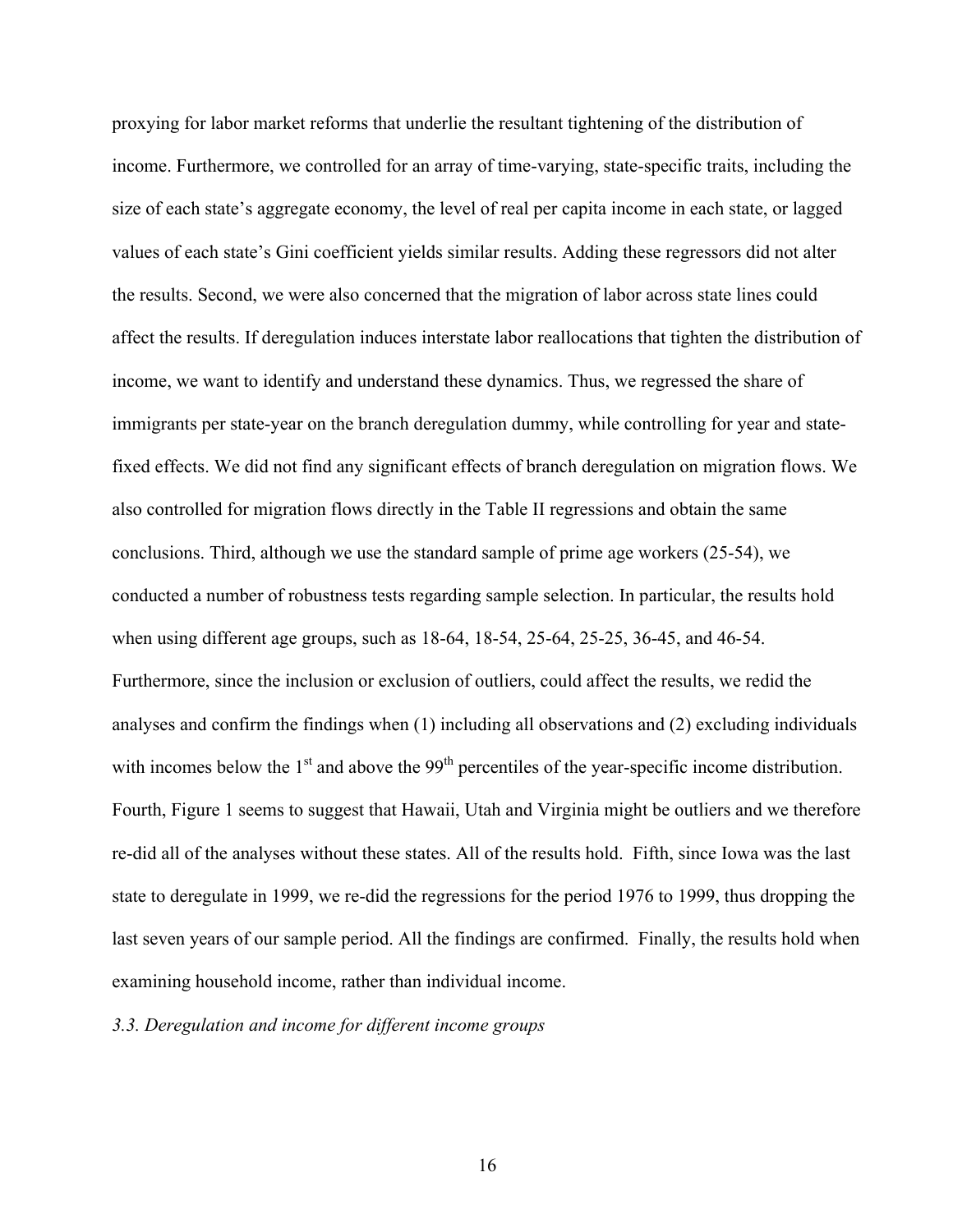proxying for labor market reforms that underlie the resultant tightening of the distribution of income. Furthermore, we controlled for an array of time-varying, state-specific traits, including the size of each state's aggregate economy, the level of real per capita income in each state, or lagged values of each state's Gini coefficient yields similar results. Adding these regressors did not alter the results. Second, we were also concerned that the migration of labor across state lines could affect the results. If deregulation induces interstate labor reallocations that tighten the distribution of income, we want to identify and understand these dynamics. Thus, we regressed the share of immigrants per state-year on the branch deregulation dummy, while controlling for year and statefixed effects. We did not find any significant effects of branch deregulation on migration flows. We also controlled for migration flows directly in the Table II regressions and obtain the same conclusions. Third, although we use the standard sample of prime age workers (25-54), we conducted a number of robustness tests regarding sample selection. In particular, the results hold when using different age groups, such as 18-64, 18-54, 25-64, 25-25, 36-45, and 46-54. Furthermore, since the inclusion or exclusion of outliers, could affect the results, we redid the analyses and confirm the findings when (1) including all observations and (2) excluding individuals with incomes below the  $1<sup>st</sup>$  and above the 99<sup>th</sup> percentiles of the year-specific income distribution. Fourth, Figure 1 seems to suggest that Hawaii, Utah and Virginia might be outliers and we therefore re-did all of the analyses without these states. All of the results hold. Fifth, since Iowa was the last state to deregulate in 1999, we re-did the regressions for the period 1976 to 1999, thus dropping the last seven years of our sample period. All the findings are confirmed. Finally, the results hold when examining household income, rather than individual income.

# *3.3. Deregulation and income for different income groups*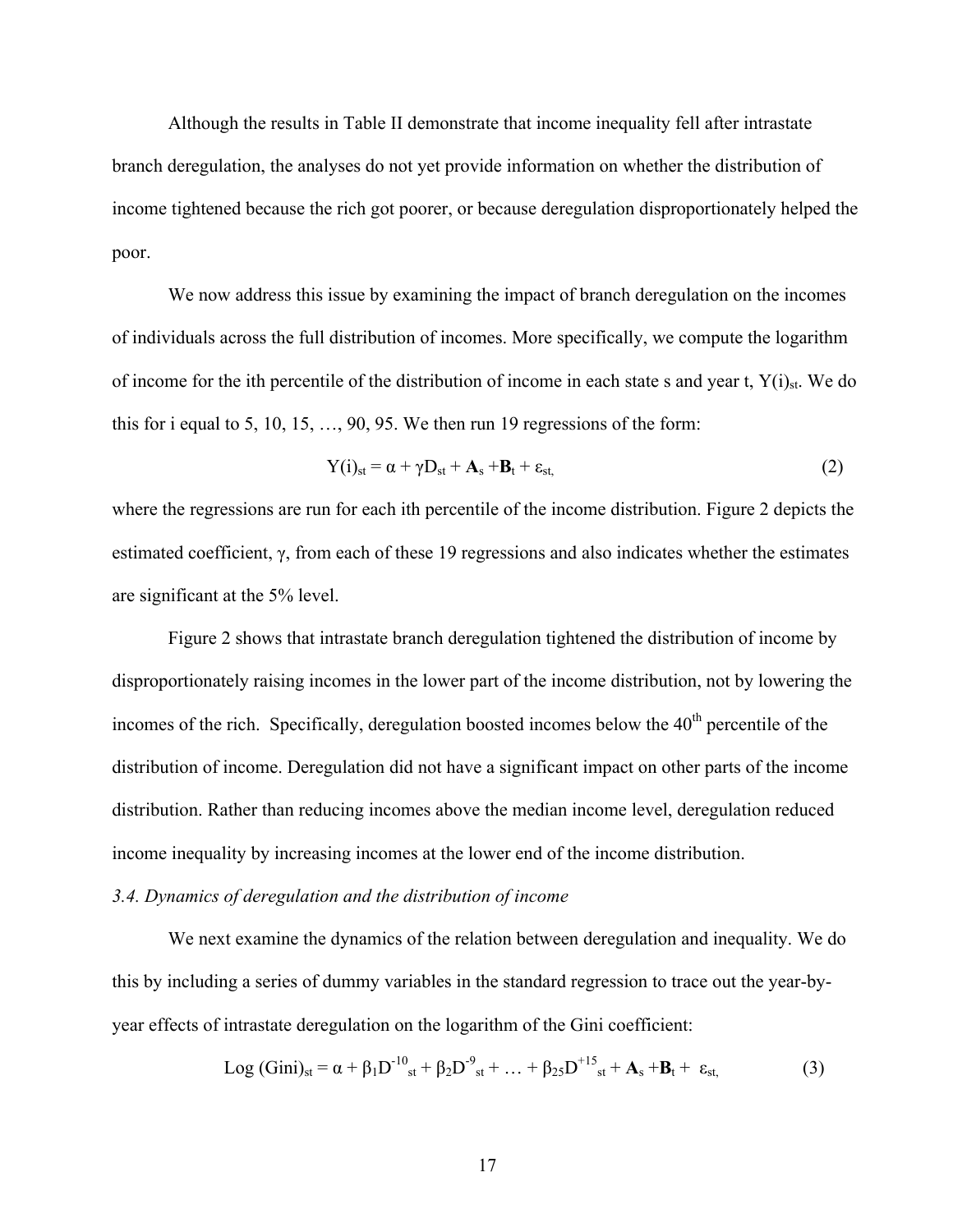Although the results in Table II demonstrate that income inequality fell after intrastate branch deregulation, the analyses do not yet provide information on whether the distribution of income tightened because the rich got poorer, or because deregulation disproportionately helped the poor.

We now address this issue by examining the impact of branch deregulation on the incomes of individuals across the full distribution of incomes. More specifically, we compute the logarithm of income for the ith percentile of the distribution of income in each state s and year t,  $Y(i)_{st}$ . We do this for i equal to 5, 10, 15,  $\dots$ , 90, 95. We then run 19 regressions of the form:

$$
Y(i)_{st} = \alpha + \gamma D_{st} + A_s + B_t + \varepsilon_{st},
$$
\n(2)

where the regressions are run for each ith percentile of the income distribution. Figure 2 depicts the estimated coefficient, γ, from each of these 19 regressions and also indicates whether the estimates are significant at the 5% level.

Figure 2 shows that intrastate branch deregulation tightened the distribution of income by disproportionately raising incomes in the lower part of the income distribution, not by lowering the incomes of the rich. Specifically, deregulation boosted incomes below the  $40<sup>th</sup>$  percentile of the distribution of income. Deregulation did not have a significant impact on other parts of the income distribution. Rather than reducing incomes above the median income level, deregulation reduced income inequality by increasing incomes at the lower end of the income distribution.

#### *3.4. Dynamics of deregulation and the distribution of income*

We next examine the dynamics of the relation between deregulation and inequality. We do this by including a series of dummy variables in the standard regression to trace out the year-byyear effects of intrastate deregulation on the logarithm of the Gini coefficient:

$$
Log (Gini)_{st} = \alpha + \beta_1 D^{-10}_{st} + \beta_2 D^{-9}_{st} + ... + \beta_{25} D^{+15}_{st} + A_s + B_t + \varepsilon_{st}
$$
(3)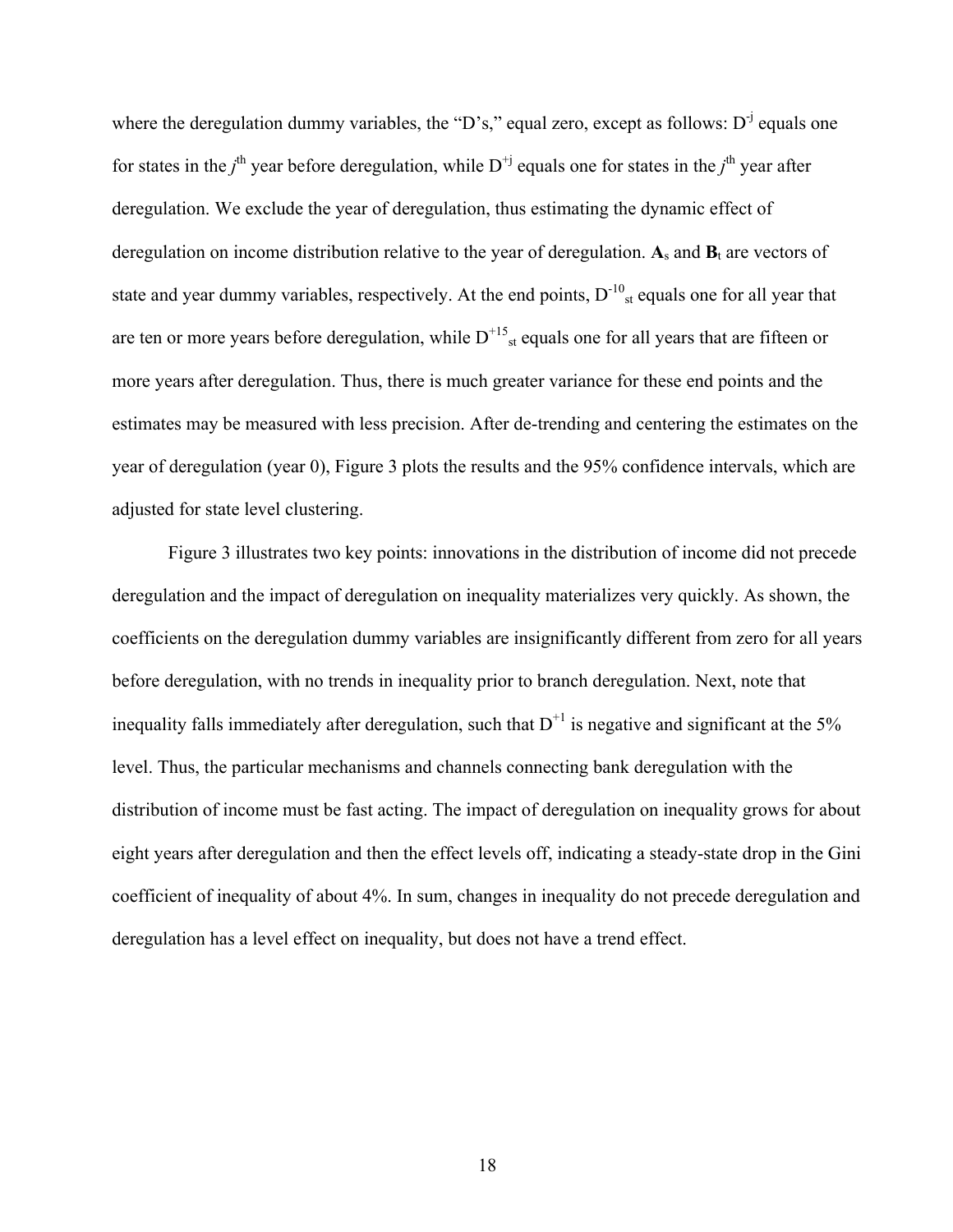where the deregulation dummy variables, the "D's," equal zero, except as follows:  $D^{-j}$  equals one for states in the *j*<sup>th</sup> year before deregulation, while  $D^{+j}$  equals one for states in the *j*<sup>th</sup> year after deregulation. We exclude the year of deregulation, thus estimating the dynamic effect of deregulation on income distribution relative to the year of deregulation.  $A_s$  and  $B_t$  are vectors of state and year dummy variables, respectively. At the end points,  $D^{-10}_{st}$  equals one for all year that are ten or more years before deregulation, while  $D^{+15}_{st}$  equals one for all years that are fifteen or more years after deregulation. Thus, there is much greater variance for these end points and the estimates may be measured with less precision. After de-trending and centering the estimates on the year of deregulation (year 0), Figure 3 plots the results and the 95% confidence intervals, which are adjusted for state level clustering.

Figure 3 illustrates two key points: innovations in the distribution of income did not precede deregulation and the impact of deregulation on inequality materializes very quickly. As shown, the coefficients on the deregulation dummy variables are insignificantly different from zero for all years before deregulation, with no trends in inequality prior to branch deregulation. Next, note that inequality falls immediately after deregulation, such that  $D^{+1}$  is negative and significant at the 5% level. Thus, the particular mechanisms and channels connecting bank deregulation with the distribution of income must be fast acting. The impact of deregulation on inequality grows for about eight years after deregulation and then the effect levels off, indicating a steady-state drop in the Gini coefficient of inequality of about 4%. In sum, changes in inequality do not precede deregulation and deregulation has a level effect on inequality, but does not have a trend effect.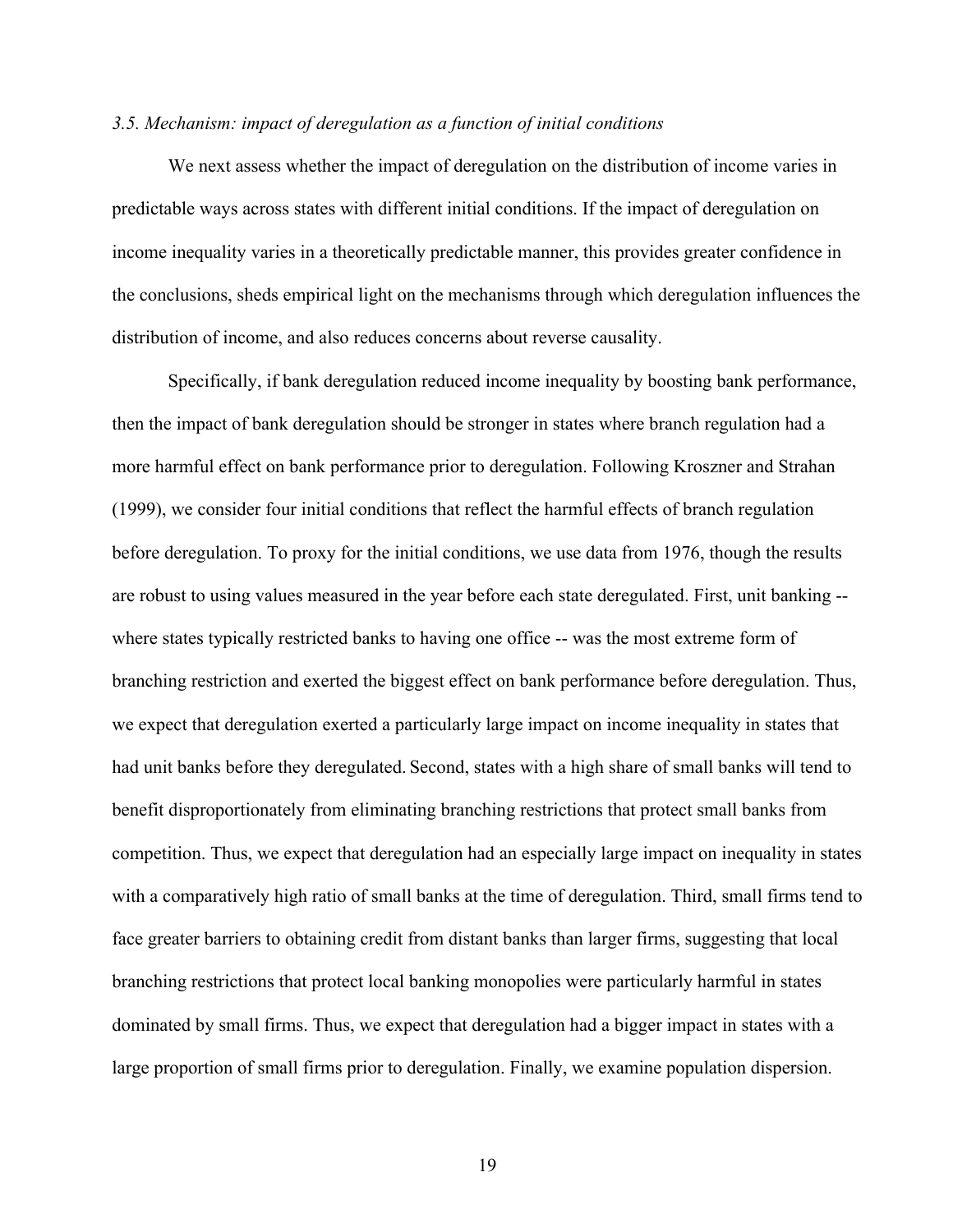# *3.5. Mechanism: impact of deregulation as a function of initial conditions*

We next assess whether the impact of deregulation on the distribution of income varies in predictable ways across states with different initial conditions. If the impact of deregulation on income inequality varies in a theoretically predictable manner, this provides greater confidence in the conclusions, sheds empirical light on the mechanisms through which deregulation influences the distribution of income, and also reduces concerns about reverse causality.

Specifically, if bank deregulation reduced income inequality by boosting bank performance, then the impact of bank deregulation should be stronger in states where branch regulation had a more harmful effect on bank performance prior to deregulation. Following Kroszner and Strahan (1999), we consider four initial conditions that reflect the harmful effects of branch regulation before deregulation. To proxy for the initial conditions, we use data from 1976, though the results are robust to using values measured in the year before each state deregulated. First, unit banking - where states typically restricted banks to having one office -- was the most extreme form of branching restriction and exerted the biggest effect on bank performance before deregulation. Thus, we expect that deregulation exerted a particularly large impact on income inequality in states that had unit banks before they deregulated. Second, states with a high share of small banks will tend to benefit disproportionately from eliminating branching restrictions that protect small banks from competition. Thus, we expect that deregulation had an especially large impact on inequality in states with a comparatively high ratio of small banks at the time of deregulation. Third, small firms tend to face greater barriers to obtaining credit from distant banks than larger firms, suggesting that local branching restrictions that protect local banking monopolies were particularly harmful in states dominated by small firms. Thus, we expect that deregulation had a bigger impact in states with a large proportion of small firms prior to deregulation. Finally, we examine population dispersion.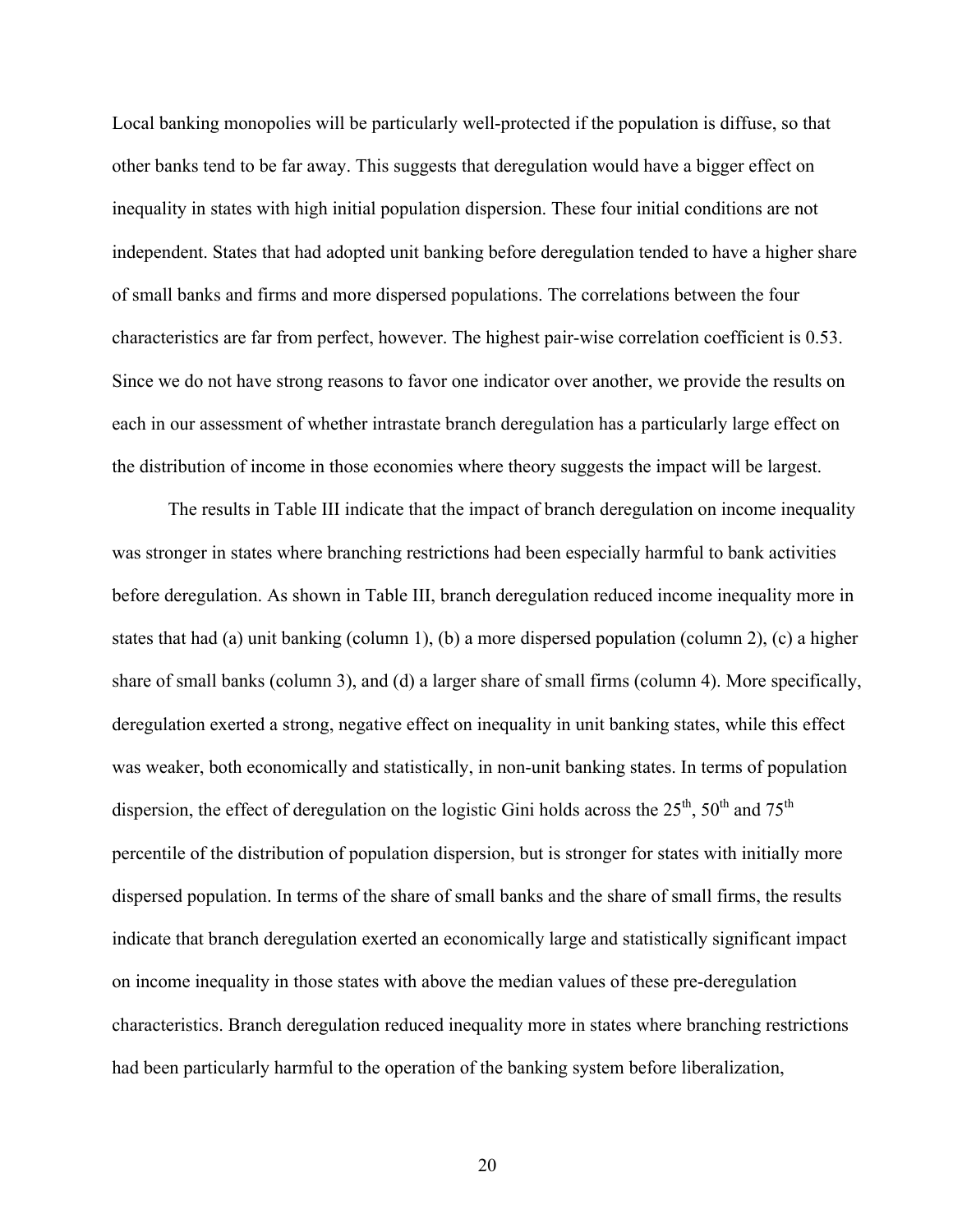Local banking monopolies will be particularly well-protected if the population is diffuse, so that other banks tend to be far away. This suggests that deregulation would have a bigger effect on inequality in states with high initial population dispersion. These four initial conditions are not independent. States that had adopted unit banking before deregulation tended to have a higher share of small banks and firms and more dispersed populations. The correlations between the four characteristics are far from perfect, however. The highest pair-wise correlation coefficient is 0.53. Since we do not have strong reasons to favor one indicator over another, we provide the results on each in our assessment of whether intrastate branch deregulation has a particularly large effect on the distribution of income in those economies where theory suggests the impact will be largest.

The results in Table III indicate that the impact of branch deregulation on income inequality was stronger in states where branching restrictions had been especially harmful to bank activities before deregulation. As shown in Table III, branch deregulation reduced income inequality more in states that had (a) unit banking (column 1), (b) a more dispersed population (column 2), (c) a higher share of small banks (column 3), and (d) a larger share of small firms (column 4). More specifically, deregulation exerted a strong, negative effect on inequality in unit banking states, while this effect was weaker, both economically and statistically, in non-unit banking states. In terms of population dispersion, the effect of deregulation on the logistic Gini holds across the  $25<sup>th</sup>$ ,  $50<sup>th</sup>$  and  $75<sup>th</sup>$ percentile of the distribution of population dispersion, but is stronger for states with initially more dispersed population. In terms of the share of small banks and the share of small firms, the results indicate that branch deregulation exerted an economically large and statistically significant impact on income inequality in those states with above the median values of these pre-deregulation characteristics. Branch deregulation reduced inequality more in states where branching restrictions had been particularly harmful to the operation of the banking system before liberalization,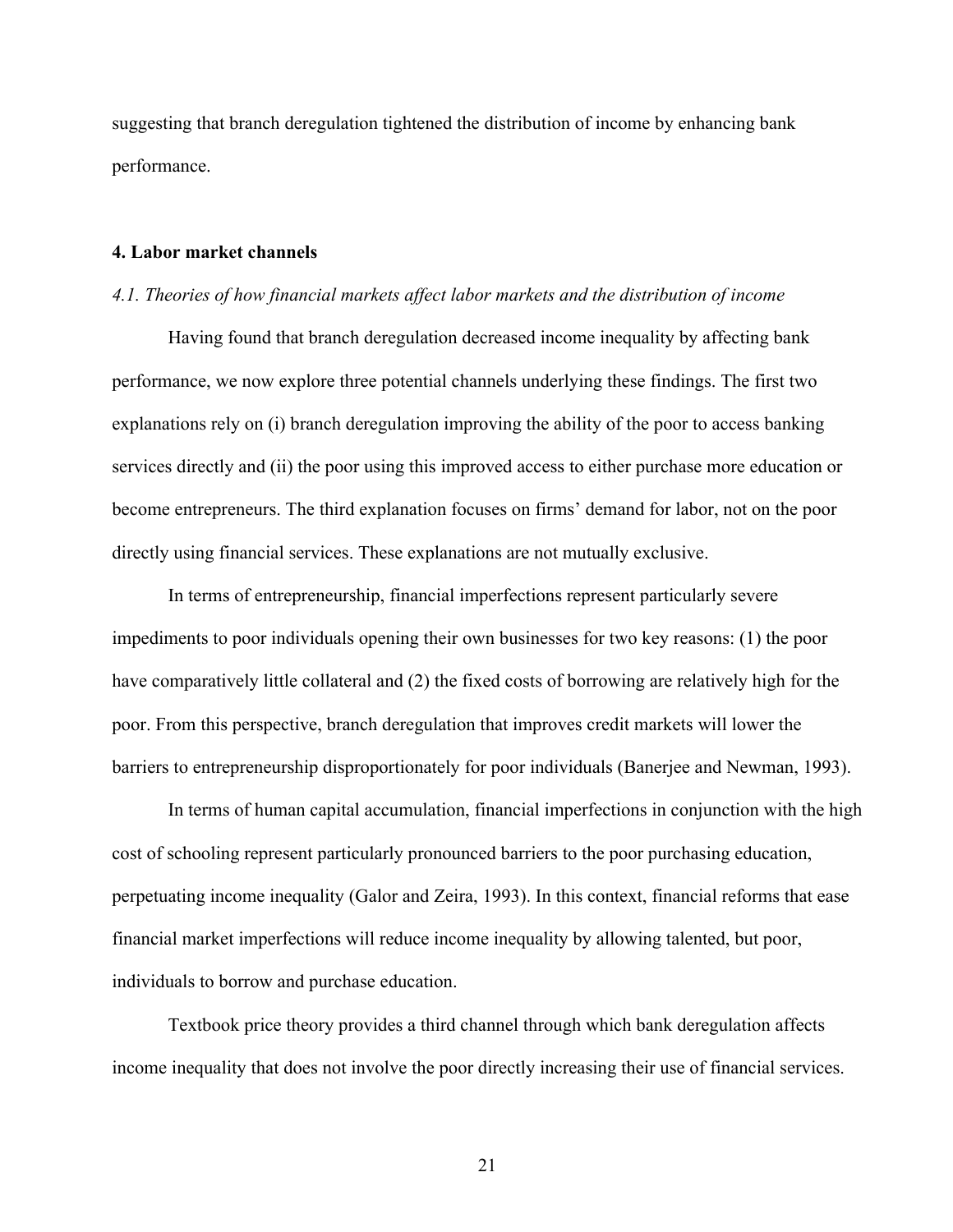suggesting that branch deregulation tightened the distribution of income by enhancing bank performance.

#### **4. Labor market channels**

#### *4.1. Theories of how financial markets affect labor markets and the distribution of income*

Having found that branch deregulation decreased income inequality by affecting bank performance, we now explore three potential channels underlying these findings. The first two explanations rely on (i) branch deregulation improving the ability of the poor to access banking services directly and (ii) the poor using this improved access to either purchase more education or become entrepreneurs. The third explanation focuses on firms' demand for labor, not on the poor directly using financial services. These explanations are not mutually exclusive.

In terms of entrepreneurship, financial imperfections represent particularly severe impediments to poor individuals opening their own businesses for two key reasons: (1) the poor have comparatively little collateral and (2) the fixed costs of borrowing are relatively high for the poor. From this perspective, branch deregulation that improves credit markets will lower the barriers to entrepreneurship disproportionately for poor individuals (Banerjee and Newman, 1993).

In terms of human capital accumulation, financial imperfections in conjunction with the high cost of schooling represent particularly pronounced barriers to the poor purchasing education, perpetuating income inequality (Galor and Zeira, 1993). In this context, financial reforms that ease financial market imperfections will reduce income inequality by allowing talented, but poor, individuals to borrow and purchase education.

Textbook price theory provides a third channel through which bank deregulation affects income inequality that does not involve the poor directly increasing their use of financial services.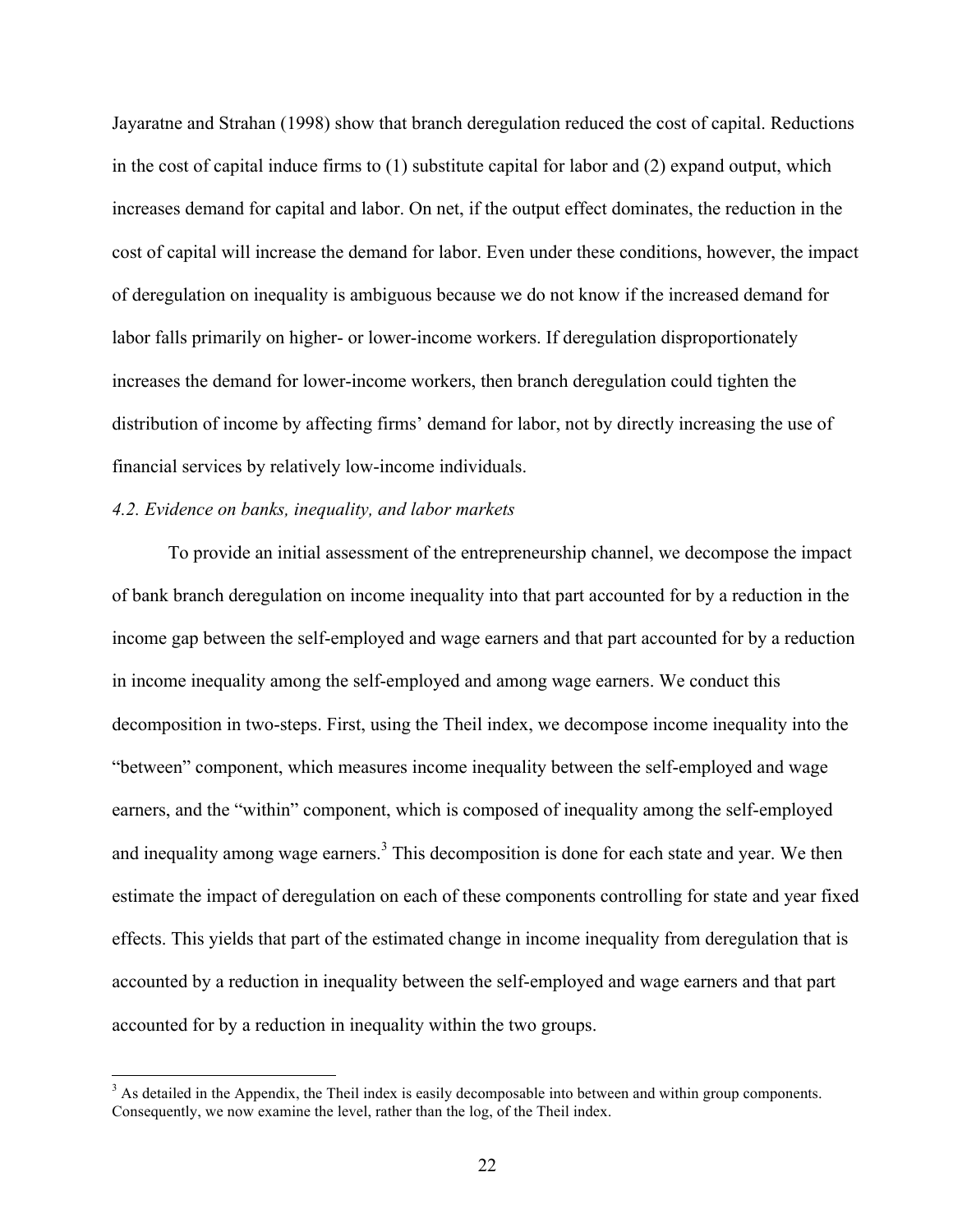Jayaratne and Strahan (1998) show that branch deregulation reduced the cost of capital. Reductions in the cost of capital induce firms to (1) substitute capital for labor and (2) expand output, which increases demand for capital and labor. On net, if the output effect dominates, the reduction in the cost of capital will increase the demand for labor. Even under these conditions, however, the impact of deregulation on inequality is ambiguous because we do not know if the increased demand for labor falls primarily on higher- or lower-income workers. If deregulation disproportionately increases the demand for lower-income workers, then branch deregulation could tighten the distribution of income by affecting firms' demand for labor, not by directly increasing the use of financial services by relatively low-income individuals.

# *4.2. Evidence on banks, inequality, and labor markets*

To provide an initial assessment of the entrepreneurship channel, we decompose the impact of bank branch deregulation on income inequality into that part accounted for by a reduction in the income gap between the self-employed and wage earners and that part accounted for by a reduction in income inequality among the self-employed and among wage earners. We conduct this decomposition in two-steps. First, using the Theil index, we decompose income inequality into the "between" component, which measures income inequality between the self-employed and wage earners, and the "within" component, which is composed of inequality among the self-employed and inequality among wage earners.<sup>3</sup> This decomposition is done for each state and year. We then estimate the impact of deregulation on each of these components controlling for state and year fixed effects. This yields that part of the estimated change in income inequality from deregulation that is accounted by a reduction in inequality between the self-employed and wage earners and that part accounted for by a reduction in inequality within the two groups.

<sup>&</sup>lt;sup>3</sup> As detailed in the Appendix, the Theil index is easily decomposable into between and within group components. Consequently, we now examine the level, rather than the log, of the Theil index.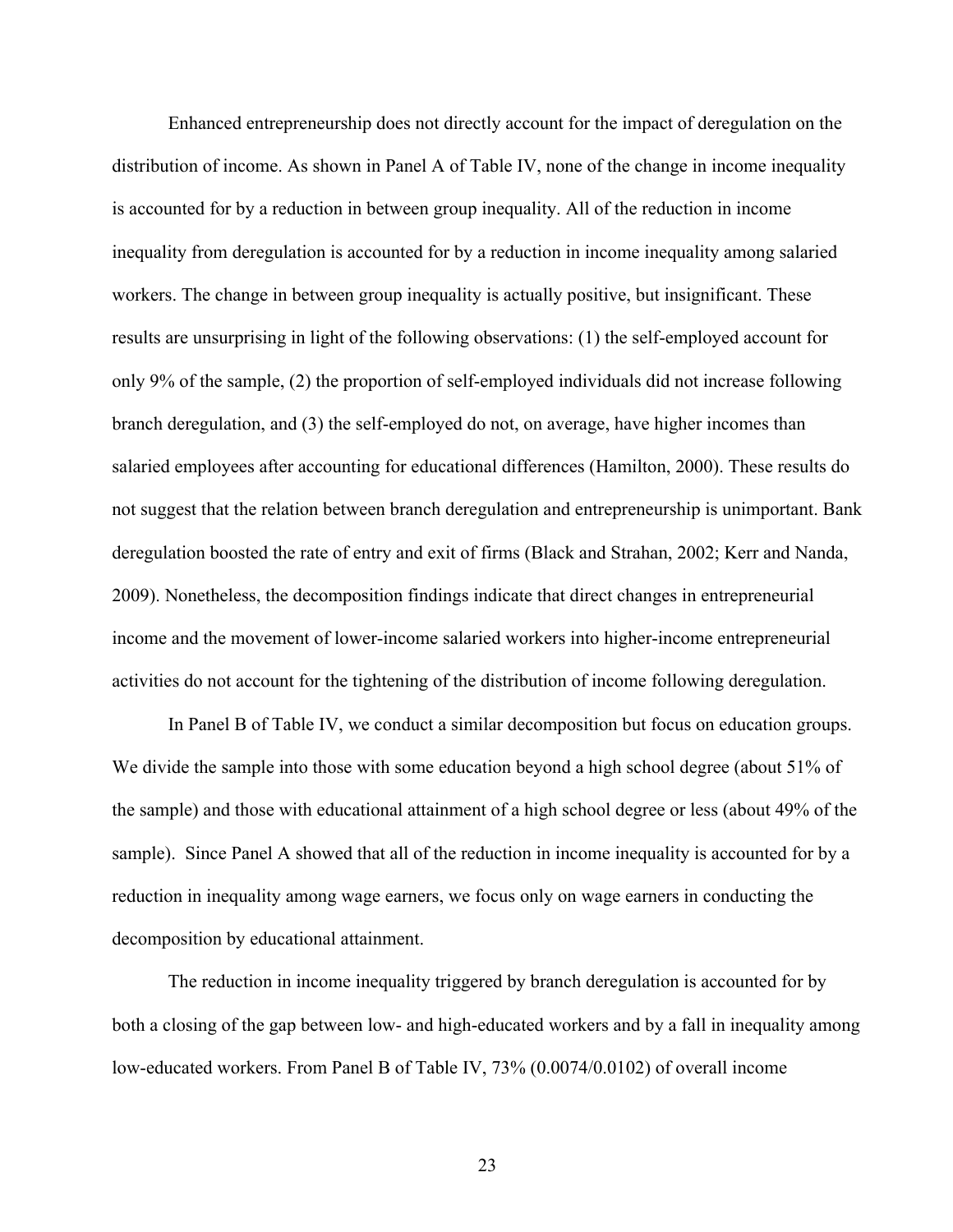Enhanced entrepreneurship does not directly account for the impact of deregulation on the distribution of income. As shown in Panel A of Table IV, none of the change in income inequality is accounted for by a reduction in between group inequality. All of the reduction in income inequality from deregulation is accounted for by a reduction in income inequality among salaried workers. The change in between group inequality is actually positive, but insignificant. These results are unsurprising in light of the following observations: (1) the self-employed account for only 9% of the sample, (2) the proportion of self-employed individuals did not increase following branch deregulation, and (3) the self-employed do not, on average, have higher incomes than salaried employees after accounting for educational differences (Hamilton, 2000). These results do not suggest that the relation between branch deregulation and entrepreneurship is unimportant. Bank deregulation boosted the rate of entry and exit of firms (Black and Strahan, 2002; Kerr and Nanda, 2009). Nonetheless, the decomposition findings indicate that direct changes in entrepreneurial income and the movement of lower-income salaried workers into higher-income entrepreneurial activities do not account for the tightening of the distribution of income following deregulation.

In Panel B of Table IV, we conduct a similar decomposition but focus on education groups. We divide the sample into those with some education beyond a high school degree (about 51% of the sample) and those with educational attainment of a high school degree or less (about 49% of the sample). Since Panel A showed that all of the reduction in income inequality is accounted for by a reduction in inequality among wage earners, we focus only on wage earners in conducting the decomposition by educational attainment.

The reduction in income inequality triggered by branch deregulation is accounted for by both a closing of the gap between low- and high-educated workers and by a fall in inequality among low-educated workers. From Panel B of Table IV, 73% (0.0074/0.0102) of overall income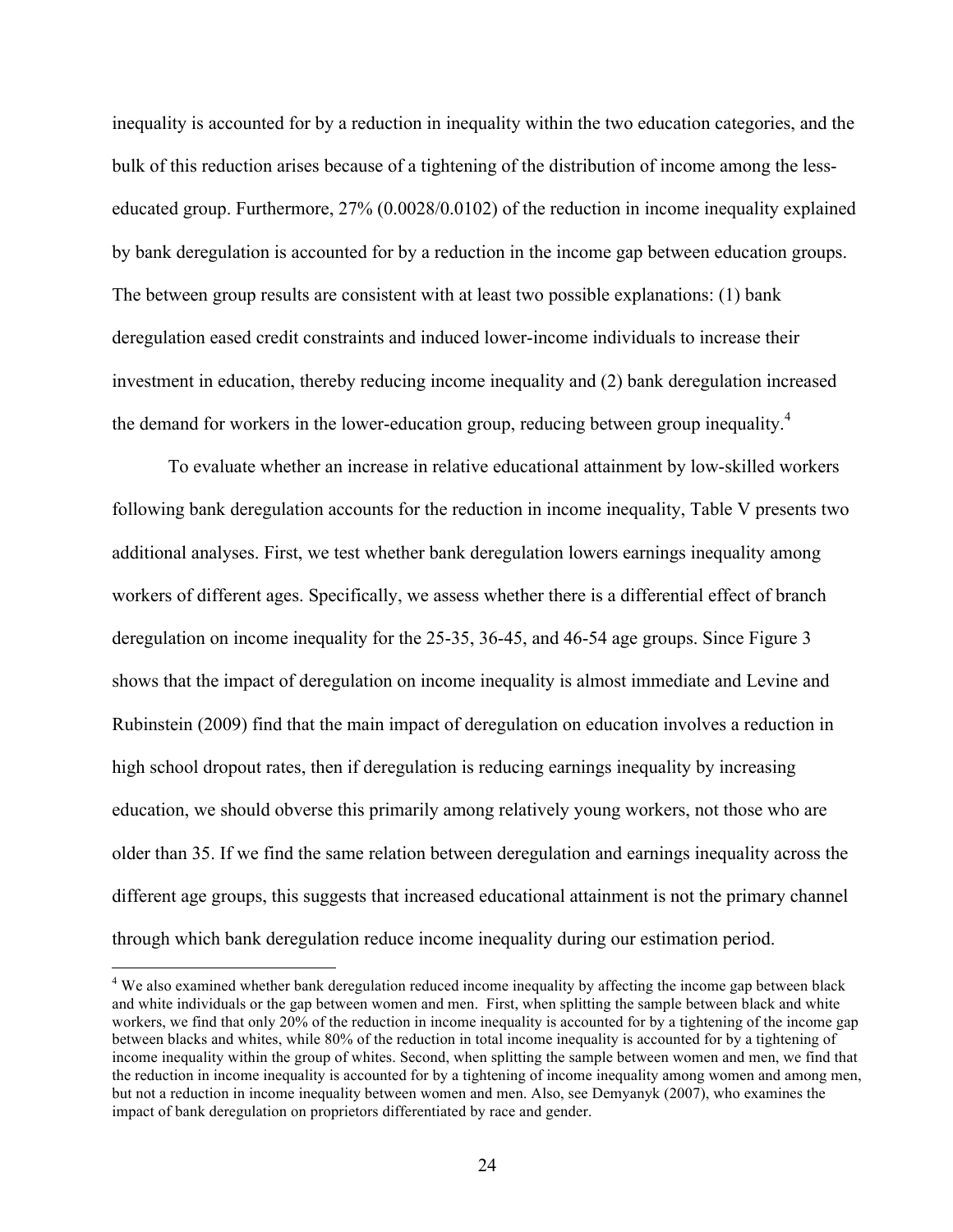inequality is accounted for by a reduction in inequality within the two education categories, and the bulk of this reduction arises because of a tightening of the distribution of income among the lesseducated group. Furthermore, 27% (0.0028/0.0102) of the reduction in income inequality explained by bank deregulation is accounted for by a reduction in the income gap between education groups. The between group results are consistent with at least two possible explanations: (1) bank deregulation eased credit constraints and induced lower-income individuals to increase their investment in education, thereby reducing income inequality and (2) bank deregulation increased the demand for workers in the lower-education group, reducing between group inequality.<sup>4</sup>

To evaluate whether an increase in relative educational attainment by low-skilled workers following bank deregulation accounts for the reduction in income inequality, Table V presents two additional analyses. First, we test whether bank deregulation lowers earnings inequality among workers of different ages. Specifically, we assess whether there is a differential effect of branch deregulation on income inequality for the 25-35, 36-45, and 46-54 age groups. Since Figure 3 shows that the impact of deregulation on income inequality is almost immediate and Levine and Rubinstein (2009) find that the main impact of deregulation on education involves a reduction in high school dropout rates, then if deregulation is reducing earnings inequality by increasing education, we should obverse this primarily among relatively young workers, not those who are older than 35. If we find the same relation between deregulation and earnings inequality across the different age groups, this suggests that increased educational attainment is not the primary channel through which bank deregulation reduce income inequality during our estimation period.

<sup>&</sup>lt;sup>4</sup> We also examined whether bank deregulation reduced income inequality by affecting the income gap between black and white individuals or the gap between women and men. First, when splitting the sample between black and white workers, we find that only 20% of the reduction in income inequality is accounted for by a tightening of the income gap between blacks and whites, while 80% of the reduction in total income inequality is accounted for by a tightening of income inequality within the group of whites. Second, when splitting the sample between women and men, we find that the reduction in income inequality is accounted for by a tightening of income inequality among women and among men, but not a reduction in income inequality between women and men. Also, see Demyanyk (2007), who examines the impact of bank deregulation on proprietors differentiated by race and gender.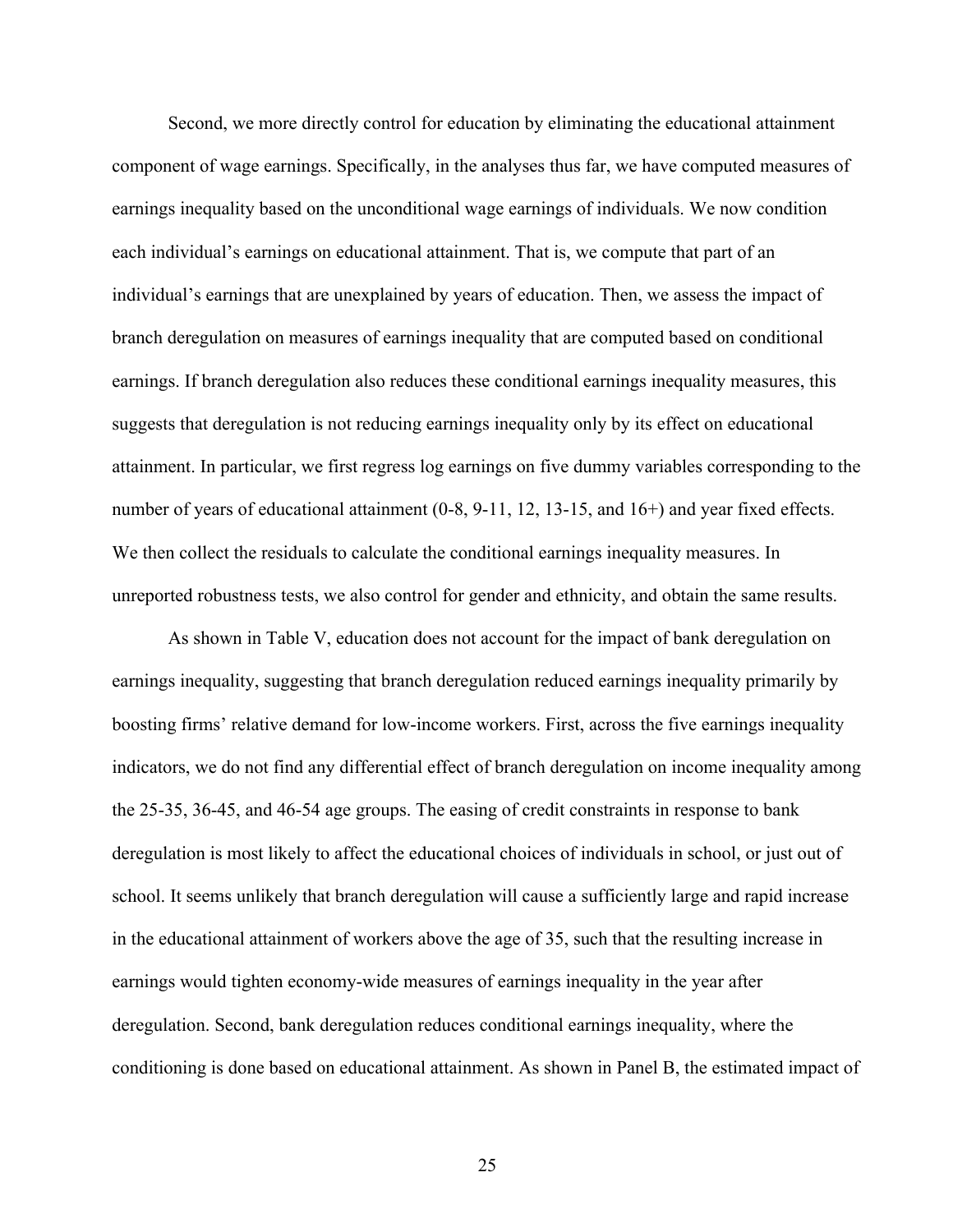Second, we more directly control for education by eliminating the educational attainment component of wage earnings. Specifically, in the analyses thus far, we have computed measures of earnings inequality based on the unconditional wage earnings of individuals. We now condition each individual's earnings on educational attainment. That is, we compute that part of an individual's earnings that are unexplained by years of education. Then, we assess the impact of branch deregulation on measures of earnings inequality that are computed based on conditional earnings. If branch deregulation also reduces these conditional earnings inequality measures, this suggests that deregulation is not reducing earnings inequality only by its effect on educational attainment. In particular, we first regress log earnings on five dummy variables corresponding to the number of years of educational attainment (0-8, 9-11, 12, 13-15, and 16+) and year fixed effects. We then collect the residuals to calculate the conditional earnings inequality measures. In unreported robustness tests, we also control for gender and ethnicity, and obtain the same results.

As shown in Table V, education does not account for the impact of bank deregulation on earnings inequality, suggesting that branch deregulation reduced earnings inequality primarily by boosting firms' relative demand for low-income workers. First, across the five earnings inequality indicators, we do not find any differential effect of branch deregulation on income inequality among the 25-35, 36-45, and 46-54 age groups. The easing of credit constraints in response to bank deregulation is most likely to affect the educational choices of individuals in school, or just out of school. It seems unlikely that branch deregulation will cause a sufficiently large and rapid increase in the educational attainment of workers above the age of 35, such that the resulting increase in earnings would tighten economy-wide measures of earnings inequality in the year after deregulation. Second, bank deregulation reduces conditional earnings inequality, where the conditioning is done based on educational attainment. As shown in Panel B, the estimated impact of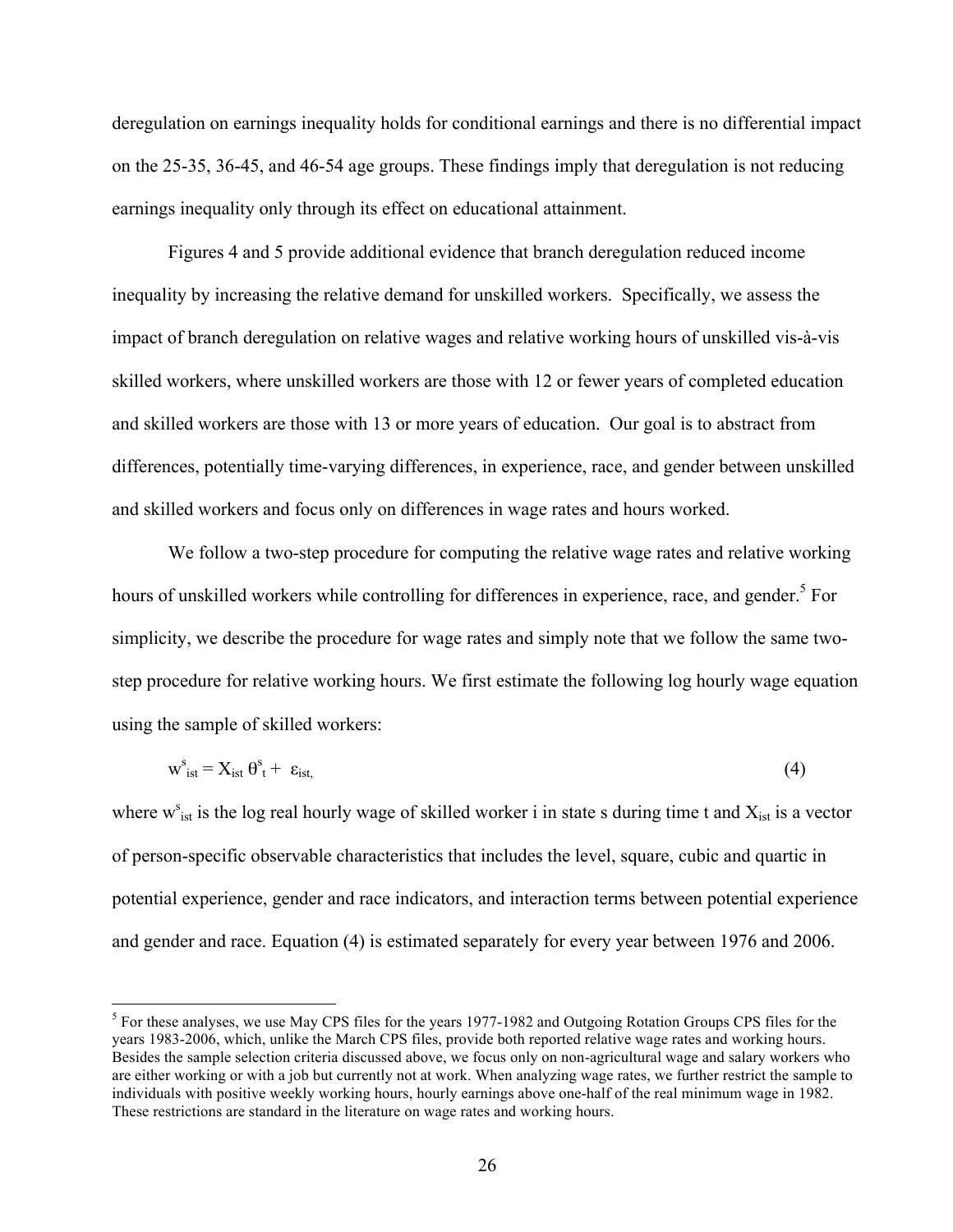deregulation on earnings inequality holds for conditional earnings and there is no differential impact on the 25-35, 36-45, and 46-54 age groups. These findings imply that deregulation is not reducing earnings inequality only through its effect on educational attainment.

Figures 4 and 5 provide additional evidence that branch deregulation reduced income inequality by increasing the relative demand for unskilled workers. Specifically, we assess the impact of branch deregulation on relative wages and relative working hours of unskilled vis-à-vis skilled workers, where unskilled workers are those with 12 or fewer years of completed education and skilled workers are those with 13 or more years of education. Our goal is to abstract from differences, potentially time-varying differences, in experience, race, and gender between unskilled and skilled workers and focus only on differences in wage rates and hours worked.

We follow a two-step procedure for computing the relative wage rates and relative working hours of unskilled workers while controlling for differences in experience, race, and gender.<sup>5</sup> For simplicity, we describe the procedure for wage rates and simply note that we follow the same twostep procedure for relative working hours. We first estimate the following log hourly wage equation using the sample of skilled workers:

$$
w_{\text{ist}}^s = X_{\text{ist}} \theta^s_t + \varepsilon_{\text{ist},}
$$
 (4)

where  $w_{ist}^s$  is the log real hourly wage of skilled worker i in state s during time t and  $X_{ist}$  is a vector of person-specific observable characteristics that includes the level, square, cubic and quartic in potential experience, gender and race indicators, and interaction terms between potential experience and gender and race. Equation (4) is estimated separately for every year between 1976 and 2006.

<sup>&</sup>lt;sup>5</sup> For these analyses, we use May CPS files for the years 1977-1982 and Outgoing Rotation Groups CPS files for the years 1983-2006, which, unlike the March CPS files, provide both reported relative wage rates and working hours. Besides the sample selection criteria discussed above, we focus only on non-agricultural wage and salary workers who are either working or with a job but currently not at work. When analyzing wage rates, we further restrict the sample to individuals with positive weekly working hours, hourly earnings above one-half of the real minimum wage in 1982. These restrictions are standard in the literature on wage rates and working hours.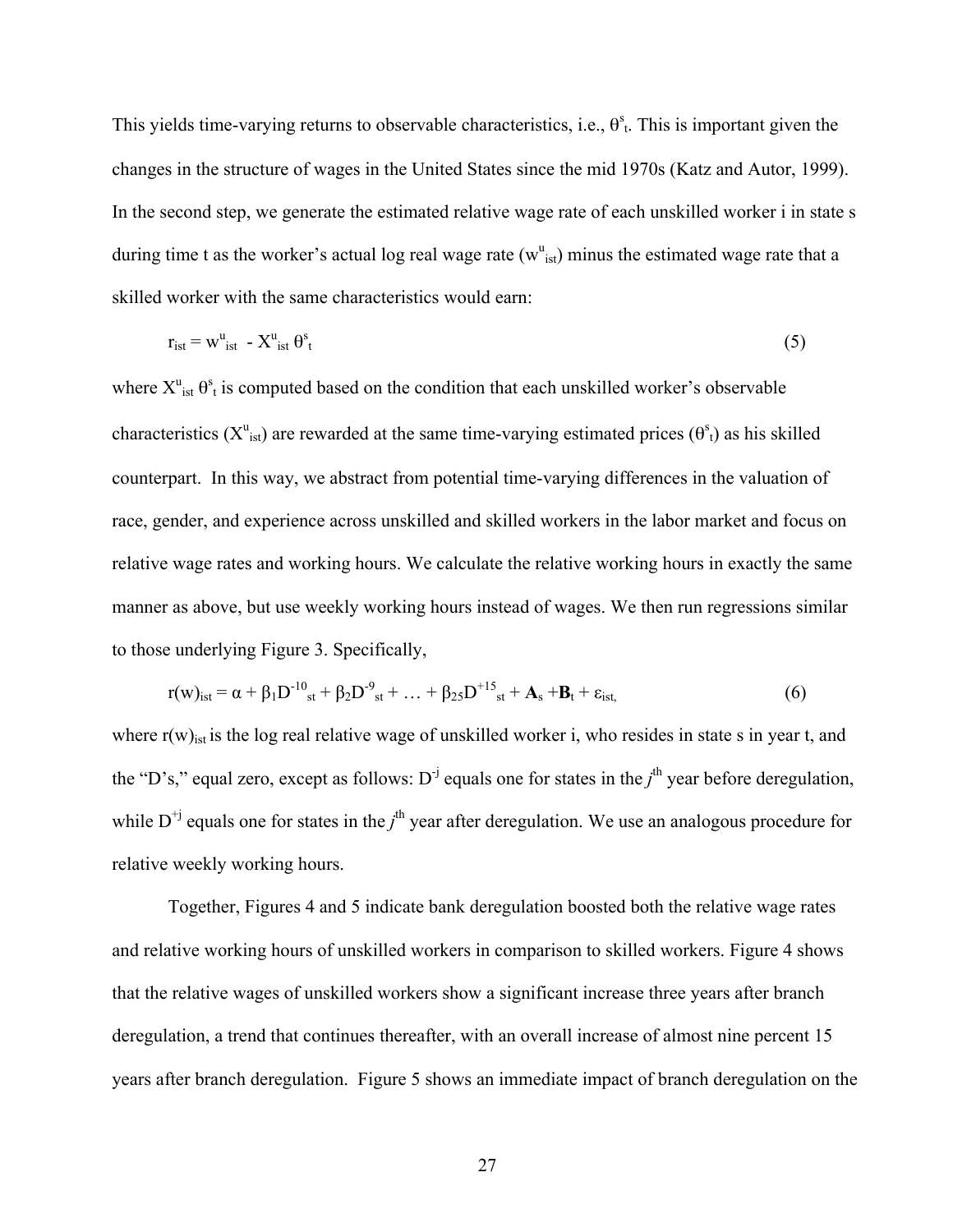This yields time-varying returns to observable characteristics, i.e.,  $\theta_{t}^{s}$ . This is important given the changes in the structure of wages in the United States since the mid 1970s (Katz and Autor, 1999). In the second step, we generate the estimated relative wage rate of each unskilled worker i in state s during time t as the worker's actual log real wage rate  $(w<sup>u</sup><sub>ist</sub>)$  minus the estimated wage rate that a skilled worker with the same characteristics would earn:

$$
r_{\rm ist} = w_{\rm ist}^{\rm u} - X_{\rm ist}^{\rm u} \theta_{\rm t}^{\rm s} \tag{5}
$$

where  $X^u_{ist} \theta^s_t$  is computed based on the condition that each unskilled worker's observable characteristics ( $X^u$ <sub>ist</sub>) are rewarded at the same time-varying estimated prices ( $\theta^s$ <sub>t</sub>) as his skilled counterpart. In this way, we abstract from potential time-varying differences in the valuation of race, gender, and experience across unskilled and skilled workers in the labor market and focus on relative wage rates and working hours. We calculate the relative working hours in exactly the same manner as above, but use weekly working hours instead of wages. We then run regressions similar to those underlying Figure 3. Specifically,

$$
r(w)_{\text{ist}} = \alpha + \beta_1 D^{-10}_{st} + \beta_2 D^{-9}_{st} + ... + \beta_{25} D^{+15}_{st} + A_s + B_t + \varepsilon_{\text{ist},}
$$
(6)

where  $r(w)_{ist}$  is the log real relative wage of unskilled worker i, who resides in state s in year t, and the "D's," equal zero, except as follows:  $D^{-j}$  equals one for states in the  $j<sup>th</sup>$  year before deregulation, while  $D^{+j}$  equals one for states in the  $j^{\text{th}}$  year after deregulation. We use an analogous procedure for relative weekly working hours.

Together, Figures 4 and 5 indicate bank deregulation boosted both the relative wage rates and relative working hours of unskilled workers in comparison to skilled workers. Figure 4 shows that the relative wages of unskilled workers show a significant increase three years after branch deregulation, a trend that continues thereafter, with an overall increase of almost nine percent 15 years after branch deregulation. Figure 5 shows an immediate impact of branch deregulation on the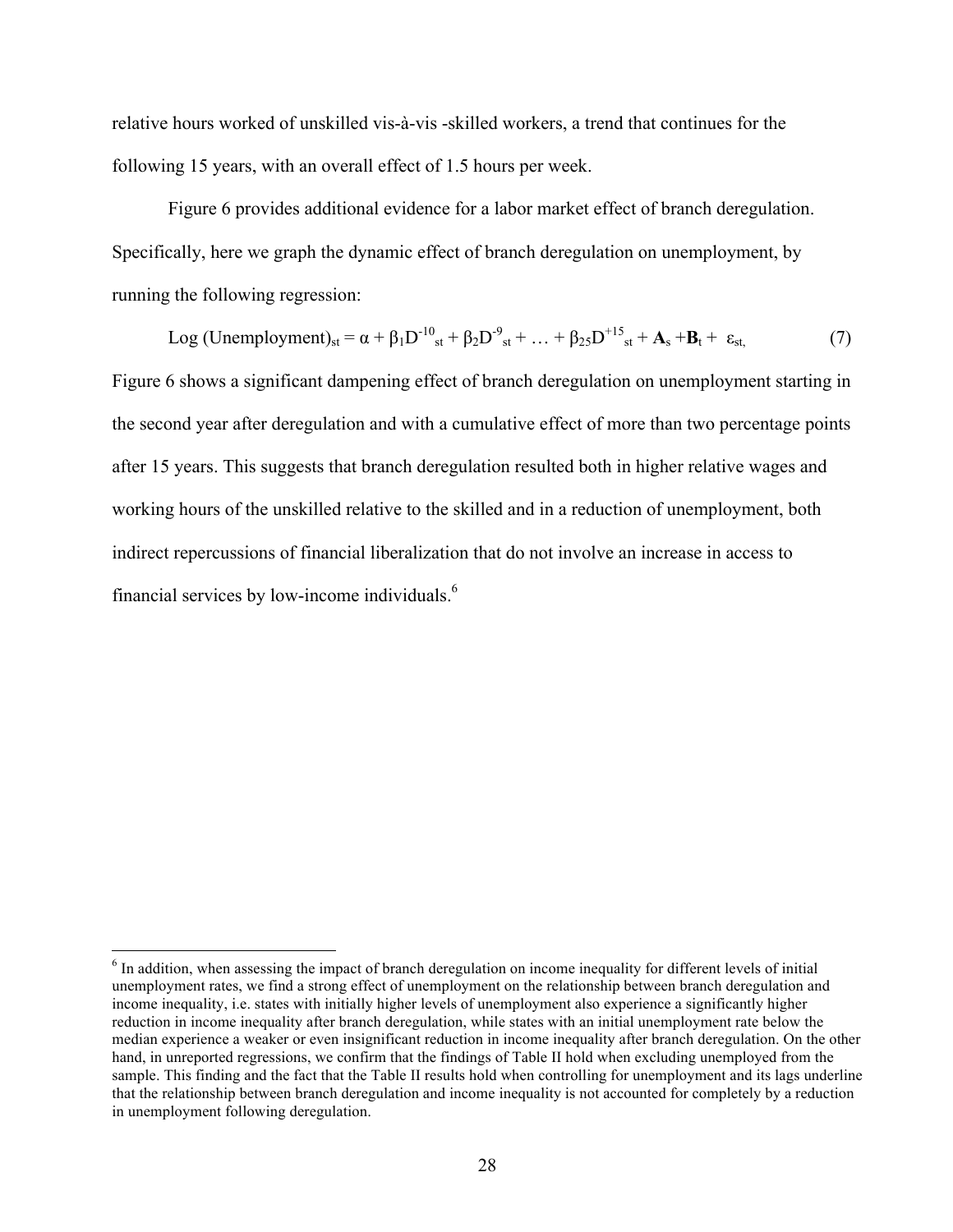relative hours worked of unskilled vis-à-vis -skilled workers, a trend that continues for the following 15 years, with an overall effect of 1.5 hours per week.

Figure 6 provides additional evidence for a labor market effect of branch deregulation. Specifically, here we graph the dynamic effect of branch deregulation on unemployment, by running the following regression:

Log (Unemployment)<sub>st</sub> = 
$$
\alpha + \beta_1 D^{-10}_{st} + \beta_2 D^{-9}_{st} + ... + \beta_{25} D^{+15}_{st} + A_s + B_t + \varepsilon_{st}
$$
, (7)

Figure 6 shows a significant dampening effect of branch deregulation on unemployment starting in the second year after deregulation and with a cumulative effect of more than two percentage points after 15 years. This suggests that branch deregulation resulted both in higher relative wages and working hours of the unskilled relative to the skilled and in a reduction of unemployment, both indirect repercussions of financial liberalization that do not involve an increase in access to financial services by low-income individuals.6

<sup>&</sup>lt;sup>6</sup> In addition, when assessing the impact of branch deregulation on income inequality for different levels of initial unemployment rates, we find a strong effect of unemployment on the relationship between branch deregulation and income inequality, i.e. states with initially higher levels of unemployment also experience a significantly higher reduction in income inequality after branch deregulation, while states with an initial unemployment rate below the median experience a weaker or even insignificant reduction in income inequality after branch deregulation. On the other hand, in unreported regressions, we confirm that the findings of Table II hold when excluding unemployed from the sample. This finding and the fact that the Table II results hold when controlling for unemployment and its lags underline that the relationship between branch deregulation and income inequality is not accounted for completely by a reduction in unemployment following deregulation.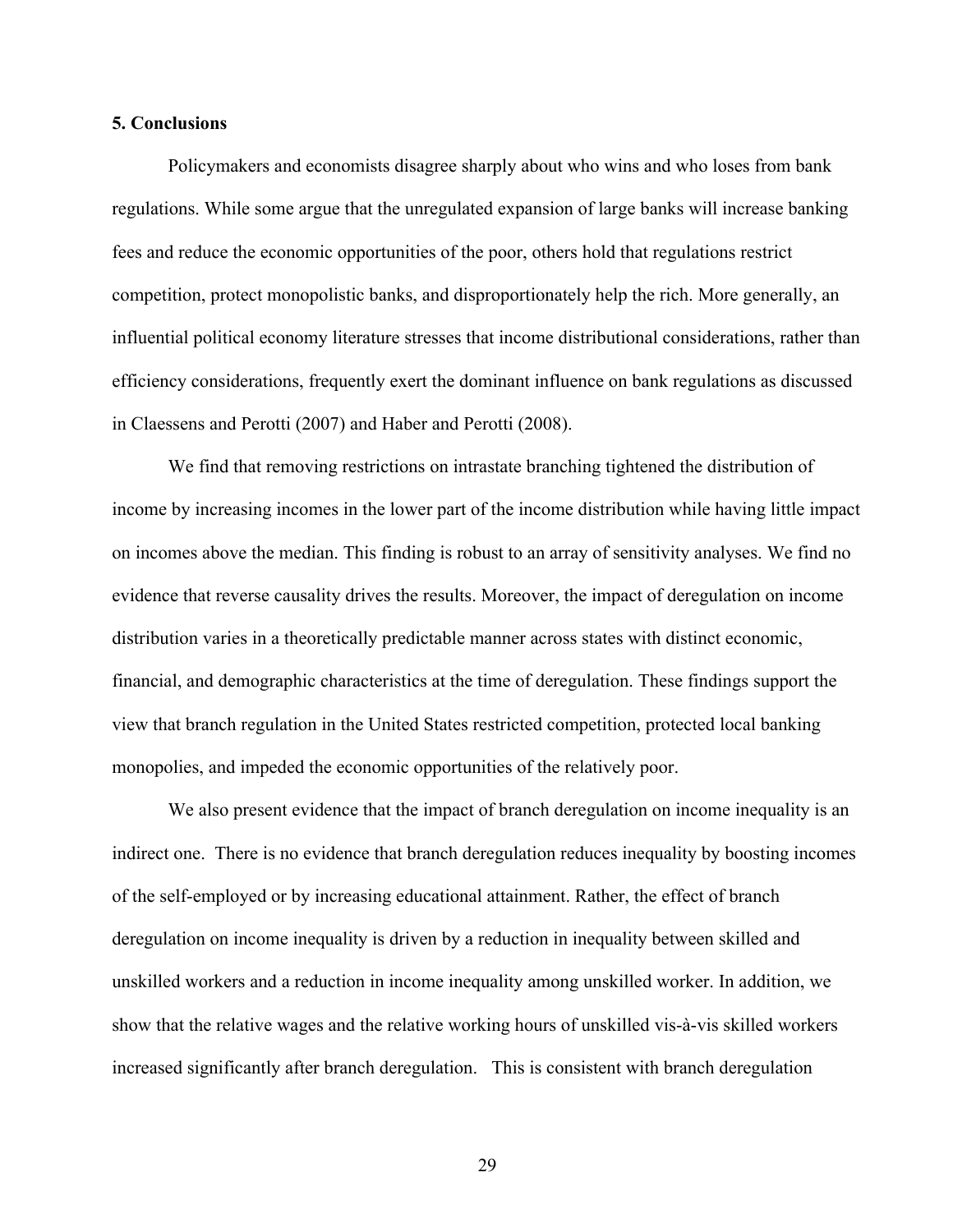# **5. Conclusions**

Policymakers and economists disagree sharply about who wins and who loses from bank regulations. While some argue that the unregulated expansion of large banks will increase banking fees and reduce the economic opportunities of the poor, others hold that regulations restrict competition, protect monopolistic banks, and disproportionately help the rich. More generally, an influential political economy literature stresses that income distributional considerations, rather than efficiency considerations, frequently exert the dominant influence on bank regulations as discussed in Claessens and Perotti (2007) and Haber and Perotti (2008).

We find that removing restrictions on intrastate branching tightened the distribution of income by increasing incomes in the lower part of the income distribution while having little impact on incomes above the median. This finding is robust to an array of sensitivity analyses. We find no evidence that reverse causality drives the results. Moreover, the impact of deregulation on income distribution varies in a theoretically predictable manner across states with distinct economic, financial, and demographic characteristics at the time of deregulation. These findings support the view that branch regulation in the United States restricted competition, protected local banking monopolies, and impeded the economic opportunities of the relatively poor.

We also present evidence that the impact of branch deregulation on income inequality is an indirect one. There is no evidence that branch deregulation reduces inequality by boosting incomes of the self-employed or by increasing educational attainment. Rather, the effect of branch deregulation on income inequality is driven by a reduction in inequality between skilled and unskilled workers and a reduction in income inequality among unskilled worker. In addition, we show that the relative wages and the relative working hours of unskilled vis-à-vis skilled workers increased significantly after branch deregulation. This is consistent with branch deregulation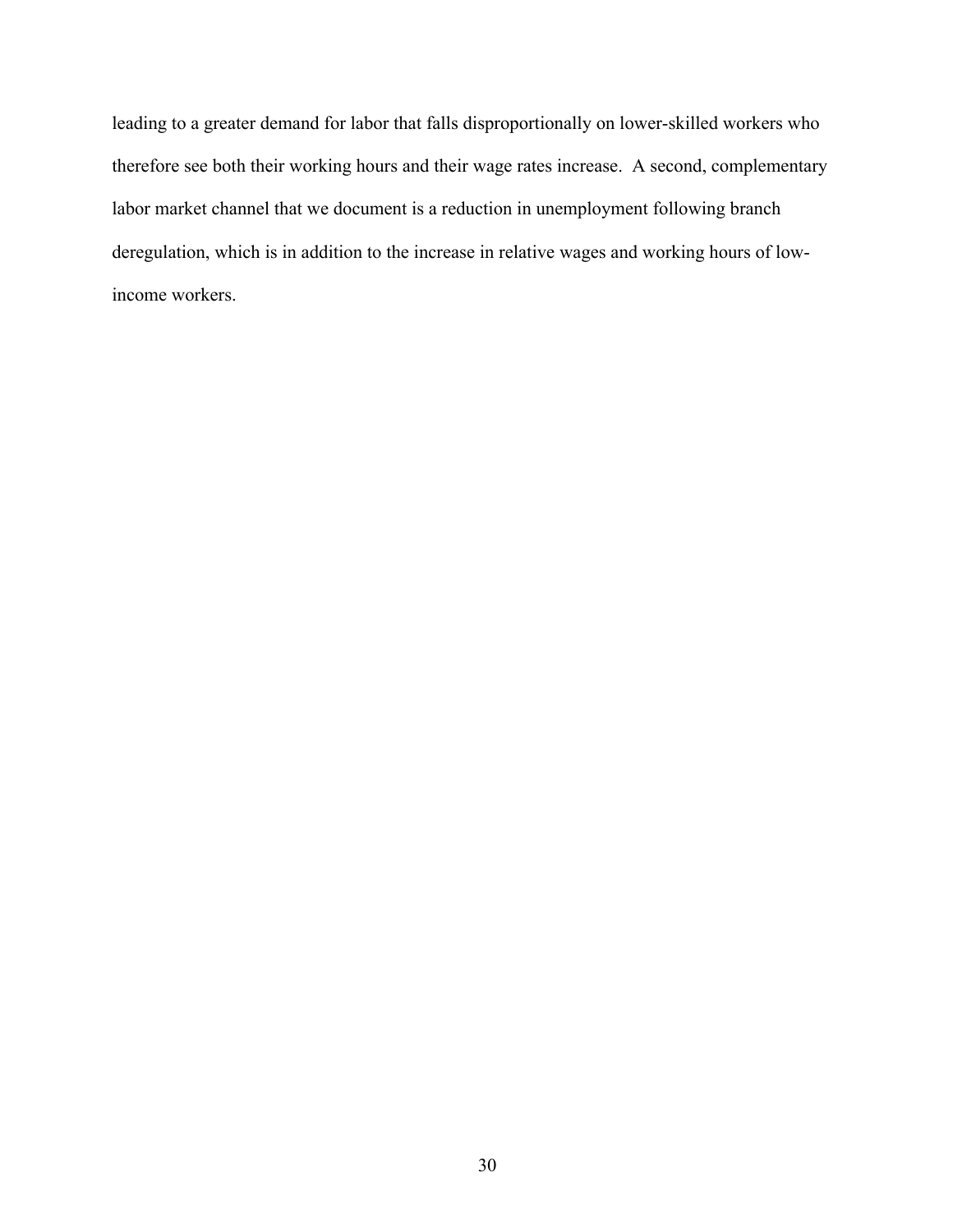leading to a greater demand for labor that falls disproportionally on lower-skilled workers who therefore see both their working hours and their wage rates increase. A second, complementary labor market channel that we document is a reduction in unemployment following branch deregulation, which is in addition to the increase in relative wages and working hours of lowincome workers.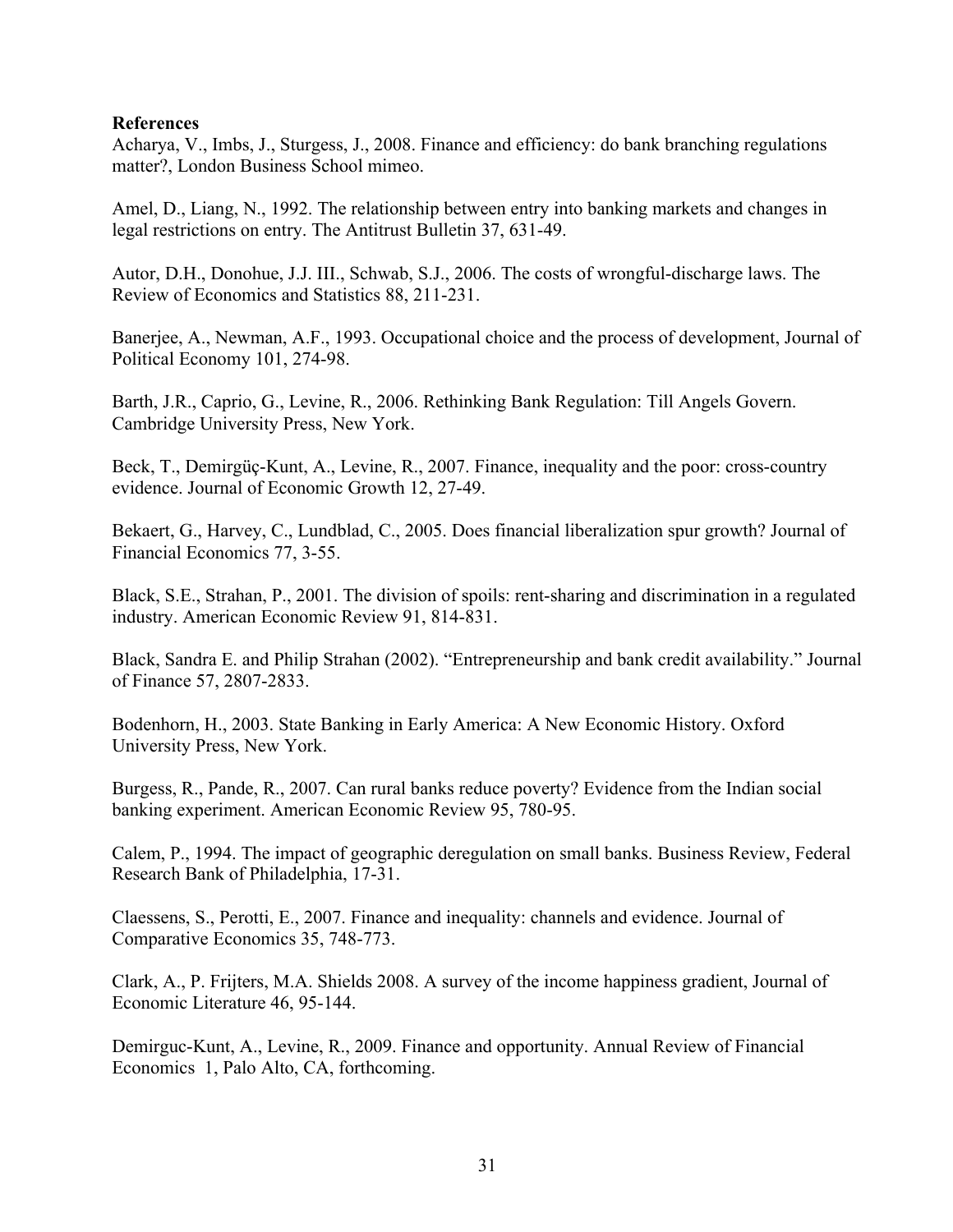# **References**

Acharya, V., Imbs, J., Sturgess, J., 2008. Finance and efficiency: do bank branching regulations matter?, London Business School mimeo.

Amel, D., Liang, N., 1992. The relationship between entry into banking markets and changes in legal restrictions on entry. The Antitrust Bulletin 37, 631-49.

Autor, D.H., Donohue, J.J. III., Schwab, S.J., 2006. The costs of wrongful-discharge laws. The Review of Economics and Statistics 88, 211-231.

Banerjee, A., Newman, A.F., 1993. Occupational choice and the process of development, Journal of Political Economy 101, 274-98.

Barth, J.R., Caprio, G., Levine, R., 2006. Rethinking Bank Regulation: Till Angels Govern. Cambridge University Press, New York.

Beck, T., Demirgüç-Kunt, A., Levine, R., 2007. Finance, inequality and the poor: cross-country evidence. Journal of Economic Growth 12, 27-49.

Bekaert, G., Harvey, C., Lundblad, C., 2005. Does financial liberalization spur growth? Journal of Financial Economics 77, 3-55.

Black, S.E., Strahan, P., 2001. The division of spoils: rent-sharing and discrimination in a regulated industry. American Economic Review 91, 814-831.

Black, Sandra E. and Philip Strahan (2002). "Entrepreneurship and bank credit availability." Journal of Finance 57, 2807-2833.

Bodenhorn, H., 2003. State Banking in Early America: A New Economic History. Oxford University Press, New York.

Burgess, R., Pande, R., 2007. Can rural banks reduce poverty? Evidence from the Indian social banking experiment. American Economic Review 95, 780-95.

Calem, P., 1994. The impact of geographic deregulation on small banks. Business Review, Federal Research Bank of Philadelphia, 17-31.

Claessens, S., Perotti, E., 2007. Finance and inequality: channels and evidence. Journal of Comparative Economics 35, 748-773.

Clark, A., P. Frijters, M.A. Shields 2008. A survey of the income happiness gradient, Journal of Economic Literature 46, 95-144.

Demirguc-Kunt, A., Levine, R., 2009. Finance and opportunity. Annual Review of Financial Economics 1, Palo Alto, CA, forthcoming.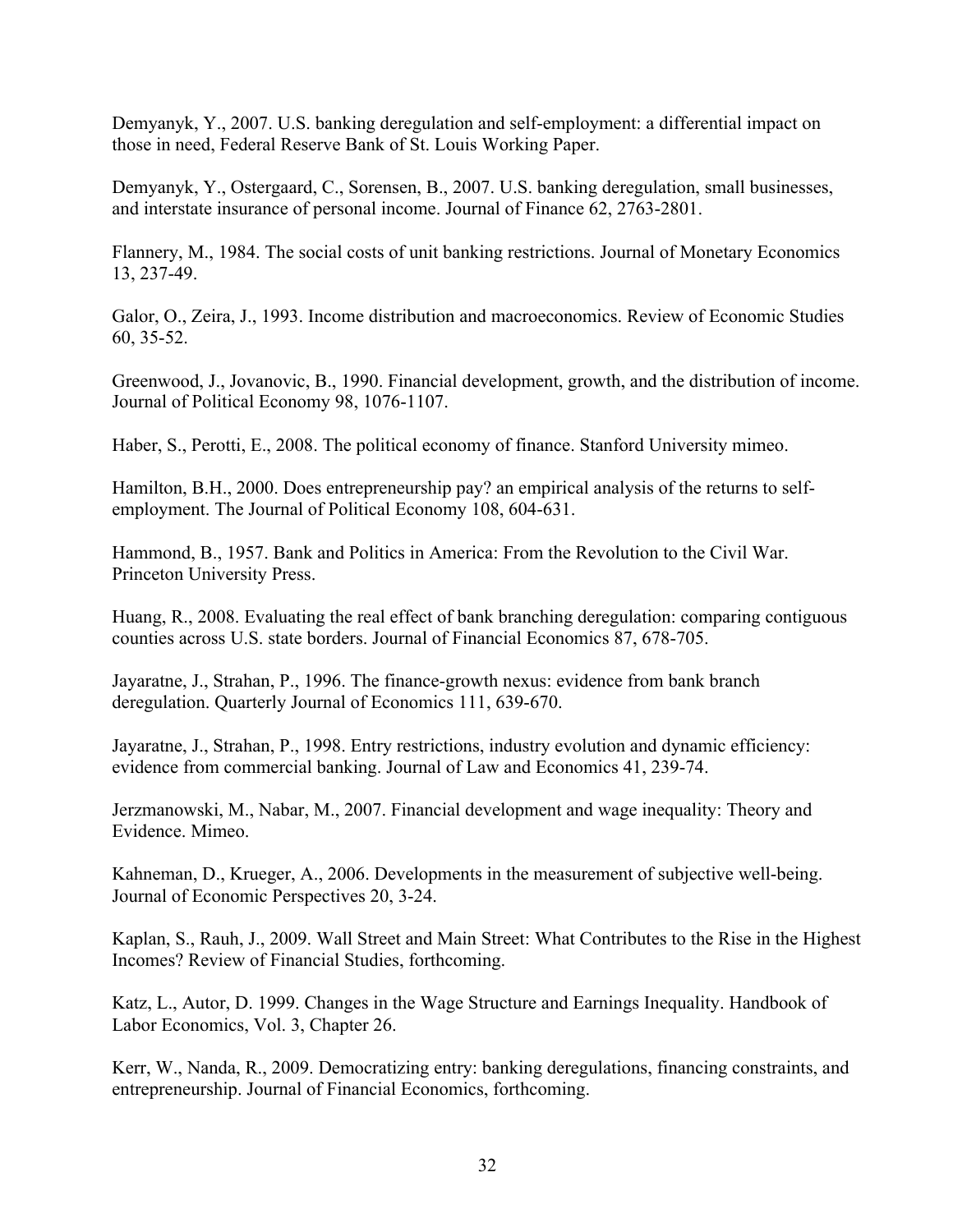Demyanyk, Y., 2007. U.S. banking deregulation and self-employment: a differential impact on those in need, Federal Reserve Bank of St. Louis Working Paper.

Demyanyk, Y., Ostergaard, C., Sorensen, B., 2007. U.S. banking deregulation, small businesses, and interstate insurance of personal income. Journal of Finance 62, 2763-2801.

Flannery, M., 1984. The social costs of unit banking restrictions. Journal of Monetary Economics 13, 237-49.

Galor, O., Zeira, J., 1993. Income distribution and macroeconomics. Review of Economic Studies 60, 35-52.

Greenwood, J., Jovanovic, B., 1990. Financial development, growth, and the distribution of income. Journal of Political Economy 98, 1076-1107.

Haber, S., Perotti, E., 2008. The political economy of finance. Stanford University mimeo.

Hamilton, B.H., 2000. Does entrepreneurship pay? an empirical analysis of the returns to selfemployment. The Journal of Political Economy 108, 604-631.

Hammond, B., 1957. Bank and Politics in America: From the Revolution to the Civil War. Princeton University Press.

Huang, R., 2008. Evaluating the real effect of bank branching deregulation: comparing contiguous counties across U.S. state borders. Journal of Financial Economics 87, 678-705.

Jayaratne, J., Strahan, P., 1996. The finance-growth nexus: evidence from bank branch deregulation. Quarterly Journal of Economics 111, 639-670.

Jayaratne, J., Strahan, P., 1998. Entry restrictions, industry evolution and dynamic efficiency: evidence from commercial banking. Journal of Law and Economics 41, 239-74.

Jerzmanowski, M., Nabar, M., 2007. Financial development and wage inequality: Theory and Evidence. Mimeo.

Kahneman, D., Krueger, A., 2006. Developments in the measurement of subjective well-being. Journal of Economic Perspectives 20, 3-24.

Kaplan, S., Rauh, J., 2009. Wall Street and Main Street: What Contributes to the Rise in the Highest Incomes? Review of Financial Studies, forthcoming.

Katz, L., Autor, D. 1999. Changes in the Wage Structure and Earnings Inequality. Handbook of Labor Economics, Vol. 3, Chapter 26.

Kerr, W., Nanda, R., 2009. Democratizing entry: banking deregulations, financing constraints, and entrepreneurship. Journal of Financial Economics, forthcoming.